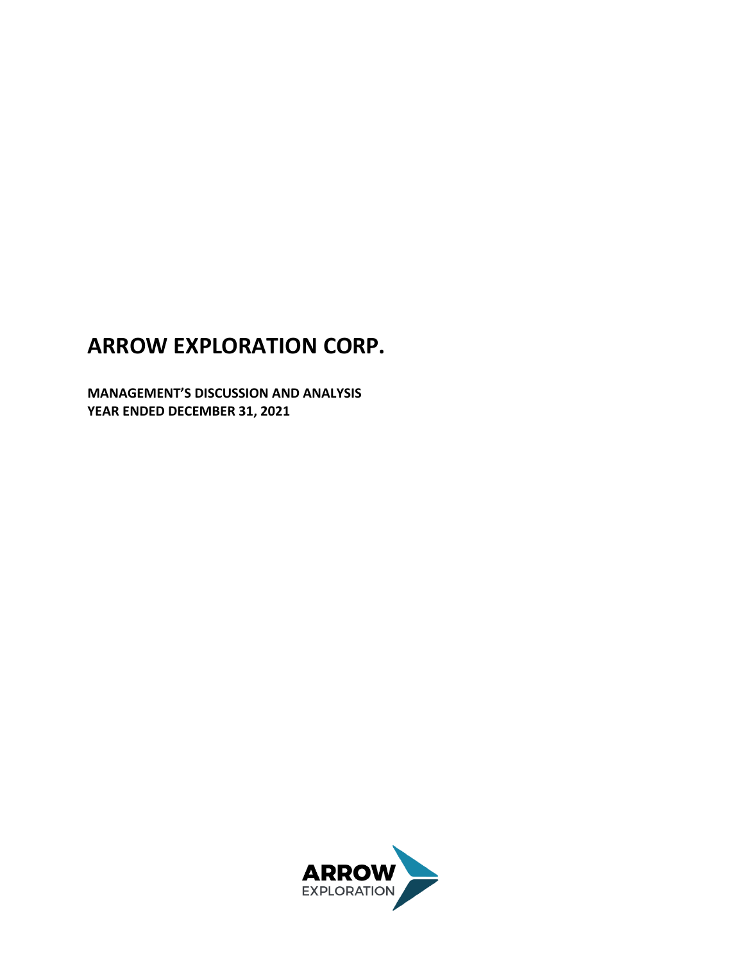# **ARROW EXPLORATION CORP.**

**MANAGEMENT'S DISCUSSION AND ANALYSIS YEAR ENDED DECEMBER 31, 2021**

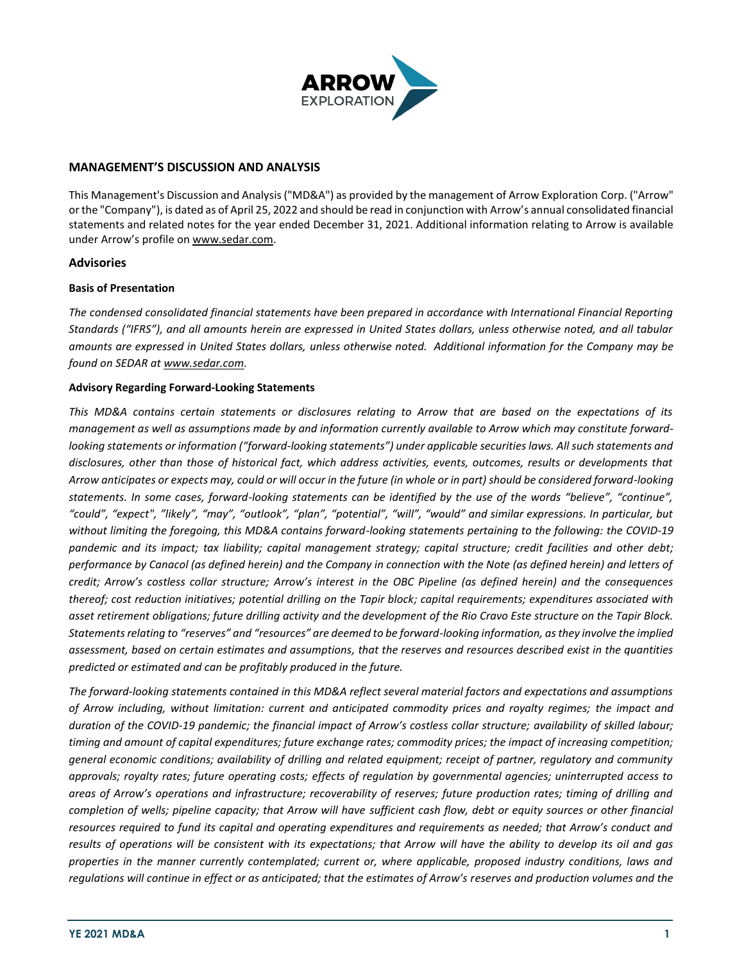

## **MANAGEMENT'S DISCUSSION AND ANALYSIS**

This Management's Discussion and Analysis ("MD&A") as provided by the management of Arrow Exploration Corp. ("Arrow" or the "Company"), is dated as of April 25, 2022 and should be read in conjunction with Arrow's annual consolidated financial statements and related notes for the year ended December 31, 2021. Additional information relating to Arrow is available under Arrow's profile on [www.sedar.com.](http://www.sedar.com/)

#### **Advisories**

#### **Basis of Presentation**

*The condensed consolidated financial statements have been prepared in accordance with International Financial Reporting Standards ("IFRS"), and all amounts herein are expressed in United States dollars, unless otherwise noted, and all tabular amounts are expressed in United States dollars, unless otherwise noted. Additional information for the Company may be found on SEDAR at www.sedar.com.* 

#### **Advisory Regarding Forward‐Looking Statements**

*This MD&A contains certain statements or disclosures relating to Arrow that are based on the expectations of its management as well as assumptions made by and information currently available to Arrow which may constitute forwardlooking statements or information ("forward-looking statements") under applicable securities laws. All such statements and disclosures, other than those of historical fact, which address activities, events, outcomes, results or developments that Arrow anticipates or expects may, could or will occur in the future (in whole or in part) should be considered forward-looking statements. In some cases, forward-looking statements can be identified by the use of the words "believe", "continue", "could", "expect", "likely", "may", "outlook", "plan", "potential", "will", "would" and similar expressions. In particular, but without limiting the foregoing, this MD&A contains forward-looking statements pertaining to the following: the COVID-19 pandemic and its impact; tax liability; capital management strategy; capital structure; credit facilities and other debt; performance by Canacol (as defined herein) and the Company in connection with the Note (as defined herein) and letters of credit; Arrow's costless collar structure; Arrow's interest in the OBC Pipeline (as defined herein) and the consequences thereof; cost reduction initiatives; potential drilling on the Tapir block; capital requirements; expenditures associated with asset retirement obligations; future drilling activity and the development of the Rio Cravo Este structure on the Tapir Block. Statements relating to "reserves" and "resources" are deemed to be forward-looking information, as they involve the implied assessment, based on certain estimates and assumptions, that the reserves and resources described exist in the quantities predicted or estimated and can be profitably produced in the future.*

*The forward-looking statements contained in this MD&A reflect several material factors and expectations and assumptions of Arrow including, without limitation: current and anticipated commodity prices and royalty regimes; the impact and duration of the COVID-19 pandemic; the financial impact of Arrow's costless collar structure; availability of skilled labour; timing and amount of capital expenditures; future exchange rates; commodity prices; the impact of increasing competition; general economic conditions; availability of drilling and related equipment; receipt of partner, regulatory and community approvals; royalty rates; future operating costs; effects of regulation by governmental agencies; uninterrupted access to areas of Arrow's operations and infrastructure; recoverability of reserves; future production rates; timing of drilling and completion of wells; pipeline capacity; that Arrow will have sufficient cash flow, debt or equity sources or other financial resources required to fund its capital and operating expenditures and requirements as needed; that Arrow's conduct and results of operations will be consistent with its expectations; that Arrow will have the ability to develop its oil and gas properties in the manner currently contemplated; current or, where applicable, proposed industry conditions, laws and regulations will continue in effect or as anticipated; that the estimates of Arrow's reserves and production volumes and the*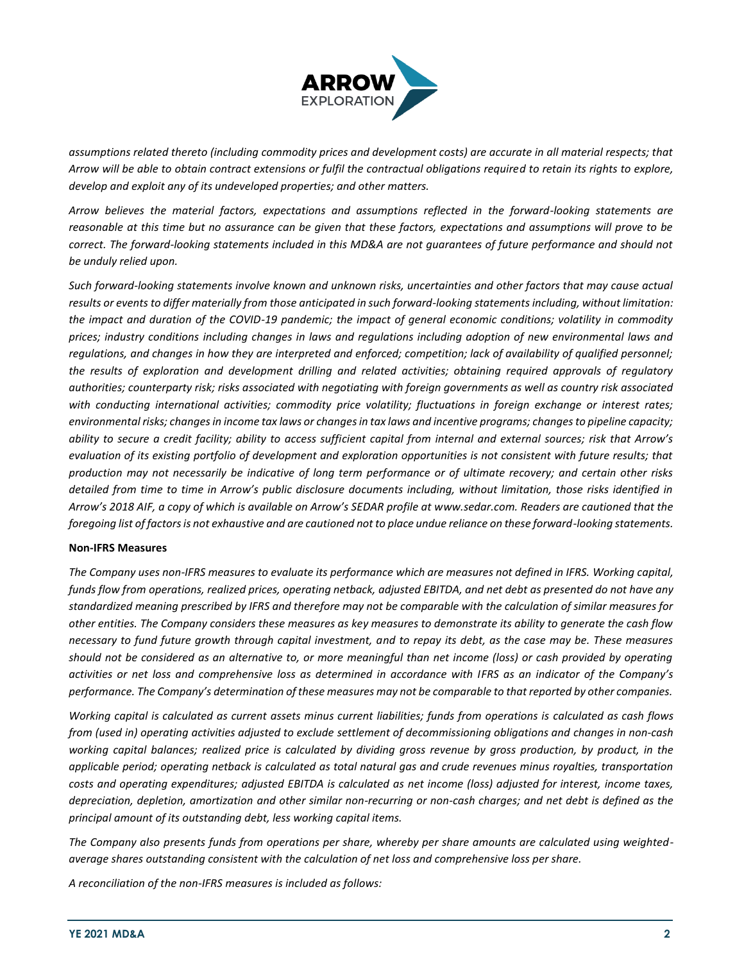

*assumptions related thereto (including commodity prices and development costs) are accurate in all material respects; that Arrow will be able to obtain contract extensions or fulfil the contractual obligations required to retain its rights to explore, develop and exploit any of its undeveloped properties; and other matters.*

*Arrow believes the material factors, expectations and assumptions reflected in the forward-looking statements are reasonable at this time but no assurance can be given that these factors, expectations and assumptions will prove to be correct. The forward-looking statements included in this MD&A are not guarantees of future performance and should not be unduly relied upon.* 

*Such forward-looking statements involve known and unknown risks, uncertainties and other factors that may cause actual results or events to differ materially from those anticipated in such forward-looking statements including, without limitation:*  the impact and duration of the COVID-19 pandemic; the impact of general economic conditions; volatility in commodity *prices; industry conditions including changes in laws and regulations including adoption of new environmental laws and regulations, and changes in how they are interpreted and enforced; competition; lack of availability of qualified personnel; the results of exploration and development drilling and related activities; obtaining required approvals of regulatory authorities; counterparty risk; risks associated with negotiating with foreign governments as well as country risk associated with conducting international activities; commodity price volatility; fluctuations in foreign exchange or interest rates; environmental risks; changes in income tax laws or changes in tax laws and incentive programs; changes to pipeline capacity; ability to secure a credit facility; ability to access sufficient capital from internal and external sources; risk that Arrow's evaluation of its existing portfolio of development and exploration opportunities is not consistent with future results; that production may not necessarily be indicative of long term performance or of ultimate recovery; and certain other risks detailed from time to time in Arrow's public disclosure documents including, without limitation, those risks identified in Arrow's 2018 AIF, a copy of which is available on Arrow's SEDAR profile at www.sedar.com. Readers are cautioned that the foregoing list of factors is not exhaustive and are cautioned not to place undue reliance on these forward-looking statements.* 

#### **Non‐IFRS Measures**

*The Company uses non-IFRS measures to evaluate its performance which are measures not defined in IFRS. Working capital, funds flow from operations, realized prices, operating netback, adjusted EBITDA, and net debt as presented do not have any standardized meaning prescribed by IFRS and therefore may not be comparable with the calculation of similar measures for other entities. The Company considers these measures as key measures to demonstrate its ability to generate the cash flow necessary to fund future growth through capital investment, and to repay its debt, as the case may be. These measures should not be considered as an alternative to, or more meaningful than net income (loss) or cash provided by operating activities or net loss and comprehensive loss as determined in accordance with IFRS as an indicator of the Company's performance. The Company's determination of these measures may not be comparable to that reported by other companies.*

*Working capital is calculated as current assets minus current liabilities; funds from operations is calculated as cash flows from (used in) operating activities adjusted to exclude settlement of decommissioning obligations and changes in non-cash working capital balances; realized price is calculated by dividing gross revenue by gross production, by product, in the applicable period; operating netback is calculated as total natural gas and crude revenues minus royalties, transportation costs and operating expenditures; adjusted EBITDA is calculated as net income (loss) adjusted for interest, income taxes, depreciation, depletion, amortization and other similar non-recurring or non-cash charges; and net debt is defined as the principal amount of its outstanding debt, less working capital items.*

*The Company also presents funds from operations per share, whereby per share amounts are calculated using weightedaverage shares outstanding consistent with the calculation of net loss and comprehensive loss per share.*

*A reconciliation of the non-IFRS measures is included as follows:*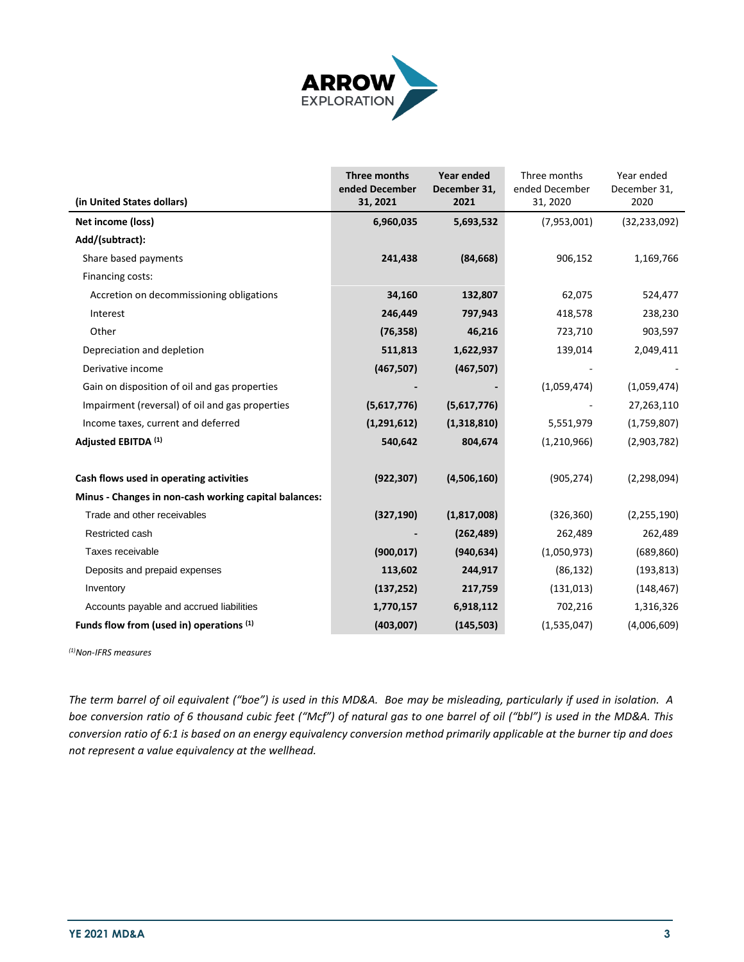

|                                                       | Three months<br>ended December | Year ended<br>December 31, | Three months<br>ended December | Year ended<br>December 31, |
|-------------------------------------------------------|--------------------------------|----------------------------|--------------------------------|----------------------------|
| (in United States dollars)                            | 31, 2021                       | 2021                       | 31, 2020                       | 2020                       |
| Net income (loss)                                     | 6,960,035                      | 5,693,532                  | (7,953,001)                    | (32, 233, 092)             |
| Add/(subtract):                                       |                                |                            |                                |                            |
| Share based payments                                  | 241,438                        | (84, 668)                  | 906,152                        | 1,169,766                  |
| Financing costs:                                      |                                |                            |                                |                            |
| Accretion on decommissioning obligations              | 34,160                         | 132,807                    | 62,075                         | 524,477                    |
| Interest                                              | 246,449                        | 797,943                    | 418,578                        | 238,230                    |
| Other                                                 | (76, 358)                      | 46,216                     | 723,710                        | 903,597                    |
| Depreciation and depletion                            | 511,813                        | 1,622,937                  | 139,014                        | 2,049,411                  |
| Derivative income                                     | (467, 507)                     | (467, 507)                 |                                |                            |
| Gain on disposition of oil and gas properties         |                                |                            | (1,059,474)                    | (1,059,474)                |
| Impairment (reversal) of oil and gas properties       | (5,617,776)                    | (5,617,776)                |                                | 27,263,110                 |
| Income taxes, current and deferred                    | (1,291,612)                    | (1,318,810)                | 5,551,979                      | (1,759,807)                |
| Adjusted EBITDA (1)                                   | 540,642                        | 804,674                    | (1,210,966)                    | (2,903,782)                |
|                                                       |                                |                            |                                |                            |
| Cash flows used in operating activities               | (922, 307)                     | (4,506,160)                | (905, 274)                     | (2,298,094)                |
| Minus - Changes in non-cash working capital balances: |                                |                            |                                |                            |
| Trade and other receivables                           | (327, 190)                     | (1,817,008)                | (326, 360)                     | (2, 255, 190)              |
| Restricted cash                                       |                                | (262, 489)                 | 262,489                        | 262,489                    |
| Taxes receivable                                      | (900, 017)                     | (940, 634)                 | (1,050,973)                    | (689, 860)                 |
| Deposits and prepaid expenses                         | 113,602                        | 244,917                    | (86, 132)                      | (193, 813)                 |
| Inventory                                             | (137, 252)                     | 217,759                    | (131, 013)                     | (148, 467)                 |
| Accounts payable and accrued liabilities              | 1,770,157                      | 6,918,112                  | 702,216                        | 1,316,326                  |
| Funds flow from (used in) operations (1)              | (403,007)                      | (145, 503)                 | (1,535,047)                    | (4,006,609)                |

*(1)Non-IFRS measures*

*The term barrel of oil equivalent ("boe") is used in this MD&A. Boe may be misleading, particularly if used in isolation. A boe conversion ratio of 6 thousand cubic feet ("Mcf") of natural gas to one barrel of oil ("bbl") is used in the MD&A. This conversion ratio of 6:1 is based on an energy equivalency conversion method primarily applicable at the burner tip and does not represent a value equivalency at the wellhead.*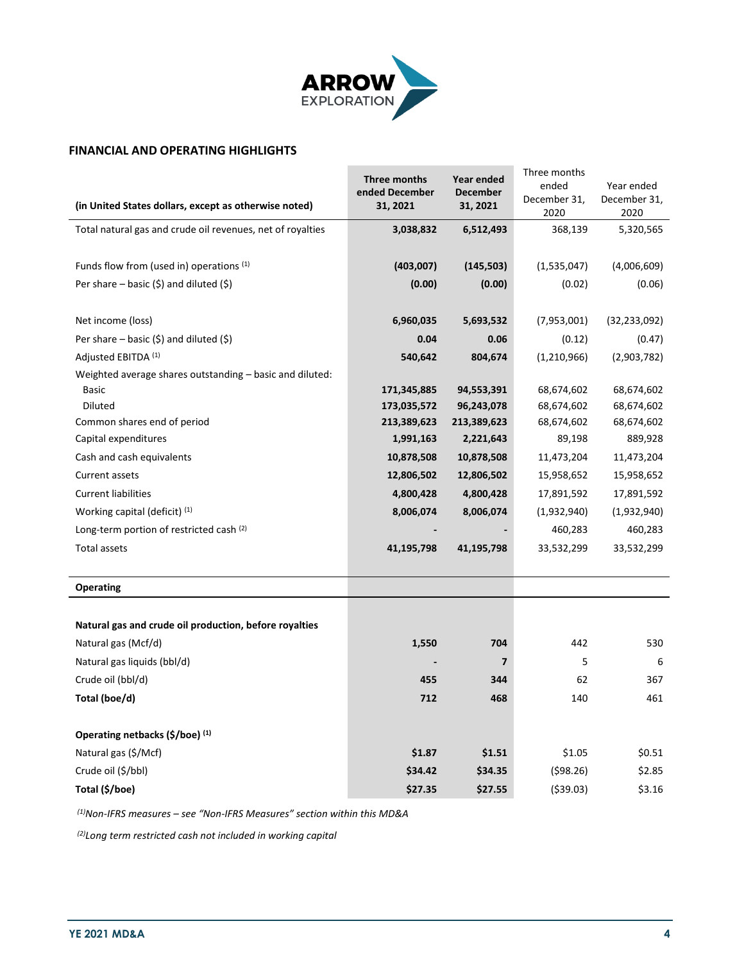

## **FINANCIAL AND OPERATING HIGHLIGHTS**

|                                                            | Three months   | Year ended  | Three months<br>ended | Year ended     |
|------------------------------------------------------------|----------------|-------------|-----------------------|----------------|
| (in United States dollars, except as otherwise noted)      | ended December | December    | December 31,          | December 31,   |
|                                                            | 31, 2021       | 31, 2021    | 2020                  | 2020           |
| Total natural gas and crude oil revenues, net of royalties | 3,038,832      | 6,512,493   | 368,139               | 5,320,565      |
|                                                            |                |             |                       |                |
| Funds flow from (used in) operations (1)                   | (403,007)      | (145, 503)  | (1,535,047)           | (4,006,609)    |
| Per share - basic $(5)$ and diluted $(5)$                  | (0.00)         | (0.00)      | (0.02)                | (0.06)         |
|                                                            |                |             |                       |                |
| Net income (loss)                                          | 6,960,035      | 5,693,532   | (7,953,001)           | (32, 233, 092) |
| Per share – basic $(\xi)$ and diluted $(\xi)$              | 0.04           | 0.06        | (0.12)                | (0.47)         |
| Adjusted EBITDA (1)                                        | 540,642        | 804,674     | (1, 210, 966)         | (2,903,782)    |
| Weighted average shares outstanding – basic and diluted:   |                |             |                       |                |
| <b>Basic</b>                                               | 171,345,885    | 94,553,391  | 68,674,602            | 68,674,602     |
| <b>Diluted</b>                                             | 173,035,572    | 96,243,078  | 68,674,602            | 68,674,602     |
| Common shares end of period                                | 213,389,623    | 213,389,623 | 68,674,602            | 68,674,602     |
| Capital expenditures                                       | 1,991,163      | 2,221,643   | 89,198                | 889,928        |
| Cash and cash equivalents                                  | 10,878,508     | 10,878,508  | 11,473,204            | 11,473,204     |
| <b>Current assets</b>                                      | 12,806,502     | 12,806,502  | 15,958,652            | 15,958,652     |
| <b>Current liabilities</b>                                 | 4,800,428      | 4,800,428   | 17,891,592            | 17,891,592     |
| Working capital (deficit) $(1)$                            | 8,006,074      | 8,006,074   | (1,932,940)           | (1,932,940)    |
| Long-term portion of restricted cash (2)                   |                |             | 460,283               | 460,283        |
| Total assets                                               | 41,195,798     | 41,195,798  | 33,532,299            | 33,532,299     |
|                                                            |                |             |                       |                |
| <b>Operating</b>                                           |                |             |                       |                |
|                                                            |                |             |                       |                |
| Natural gas and crude oil production, before royalties     |                |             |                       |                |
| Natural gas (Mcf/d)                                        | 1,550          | 704         | 442                   | 530            |
| Natural gas liquids (bbl/d)                                |                | 7           | 5                     | 6              |
| Crude oil (bbl/d)                                          | 455            | 344         | 62                    | 367            |
| Total (boe/d)                                              | 712            | 468         | 140                   | 461            |
|                                                            |                |             |                       |                |
| Operating netbacks (\$/boe) (1)                            |                |             |                       |                |
| Natural gas (\$/Mcf)                                       | \$1.87         | \$1.51      | \$1.05                | \$0.51         |
| Crude oil (\$/bbl)                                         | \$34.42        | \$34.35     | (598.26)              | \$2.85         |
| Total (\$/boe)                                             | \$27.35        | \$27.55     | ( \$39.03)            | \$3.16         |

*(1)Non-IFRS measures – see "Non-IFRS Measures" section within this MD&A*

*(2)Long term restricted cash not included in working capital*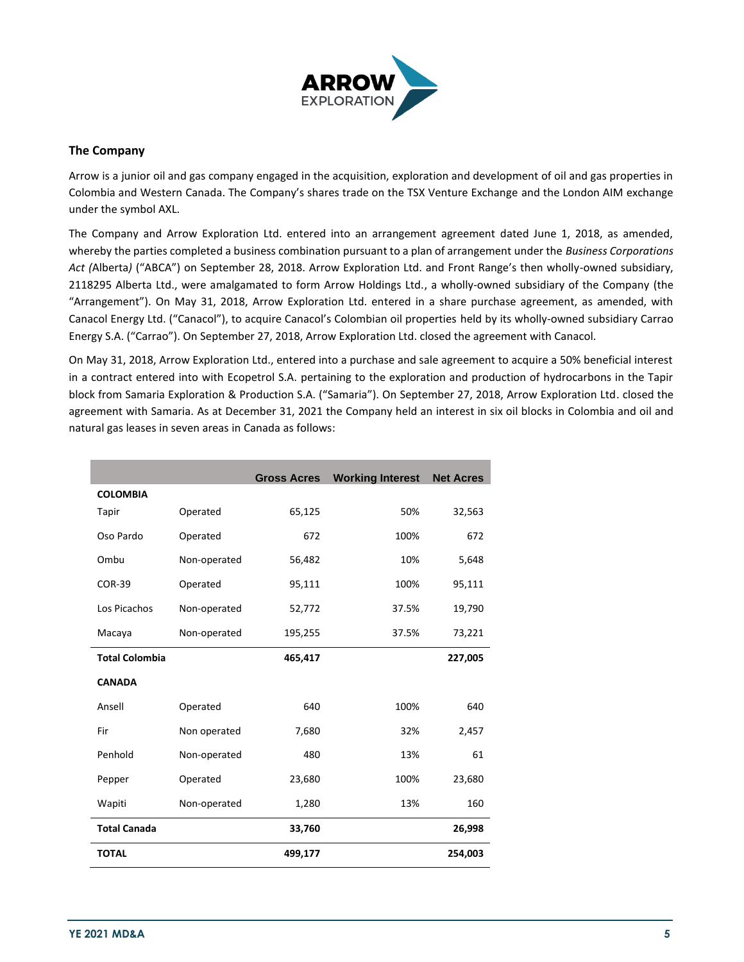

## **The Company**

Arrow is a junior oil and gas company engaged in the acquisition, exploration and development of oil and gas properties in Colombia and Western Canada. The Company's shares trade on the TSX Venture Exchange and the London AIM exchange under the symbol AXL.

The Company and Arrow Exploration Ltd. entered into an arrangement agreement dated June 1, 2018, as amended, whereby the parties completed a business combination pursuant to a plan of arrangement under the *Business Corporations Act (*Alberta*)* ("ABCA") on September 28, 2018. Arrow Exploration Ltd. and Front Range's then wholly-owned subsidiary, 2118295 Alberta Ltd., were amalgamated to form Arrow Holdings Ltd., a wholly-owned subsidiary of the Company (the "Arrangement"). On May 31, 2018, Arrow Exploration Ltd. entered in a share purchase agreement, as amended, with Canacol Energy Ltd. ("Canacol"), to acquire Canacol's Colombian oil properties held by its wholly-owned subsidiary Carrao Energy S.A. ("Carrao"). On September 27, 2018, Arrow Exploration Ltd. closed the agreement with Canacol.

On May 31, 2018, Arrow Exploration Ltd., entered into a purchase and sale agreement to acquire a 50% beneficial interest in a contract entered into with Ecopetrol S.A. pertaining to the exploration and production of hydrocarbons in the Tapir block from Samaria Exploration & Production S.A. ("Samaria"). On September 27, 2018, Arrow Exploration Ltd. closed the agreement with Samaria. As at December 31, 2021 the Company held an interest in six oil blocks in Colombia and oil and natural gas leases in seven areas in Canada as follows:

|                       |              | <b>Gross Acres</b> | <b>Working Interest</b> | <b>Net Acres</b> |
|-----------------------|--------------|--------------------|-------------------------|------------------|
| <b>COLOMBIA</b>       |              |                    |                         |                  |
| <b>Tapir</b>          | Operated     | 65,125             | 50%                     | 32,563           |
| Oso Pardo             | Operated     | 672                | 100%                    | 672              |
| Ombu                  | Non-operated | 56,482             | 10%                     | 5,648            |
| <b>COR-39</b>         | Operated     | 95,111             | 100%                    | 95,111           |
| Los Picachos          | Non-operated | 52,772             | 37.5%                   | 19,790           |
| Macaya                | Non-operated | 195,255            | 37.5%                   | 73,221           |
| <b>Total Colombia</b> |              | 465,417            |                         | 227,005          |
| <b>CANADA</b>         |              |                    |                         |                  |
| Ansell                | Operated     | 640                | 100%                    | 640              |
| Fir                   | Non operated | 7,680              | 32%                     | 2,457            |
| Penhold               | Non-operated | 480                | 13%                     | 61               |
| Pepper                | Operated     | 23,680             | 100%                    | 23,680           |
| Wapiti                | Non-operated | 1,280              | 13%                     | 160              |
| <b>Total Canada</b>   |              | 33,760             |                         | 26,998           |
| <b>TOTAL</b>          |              | 499,177            |                         | 254,003          |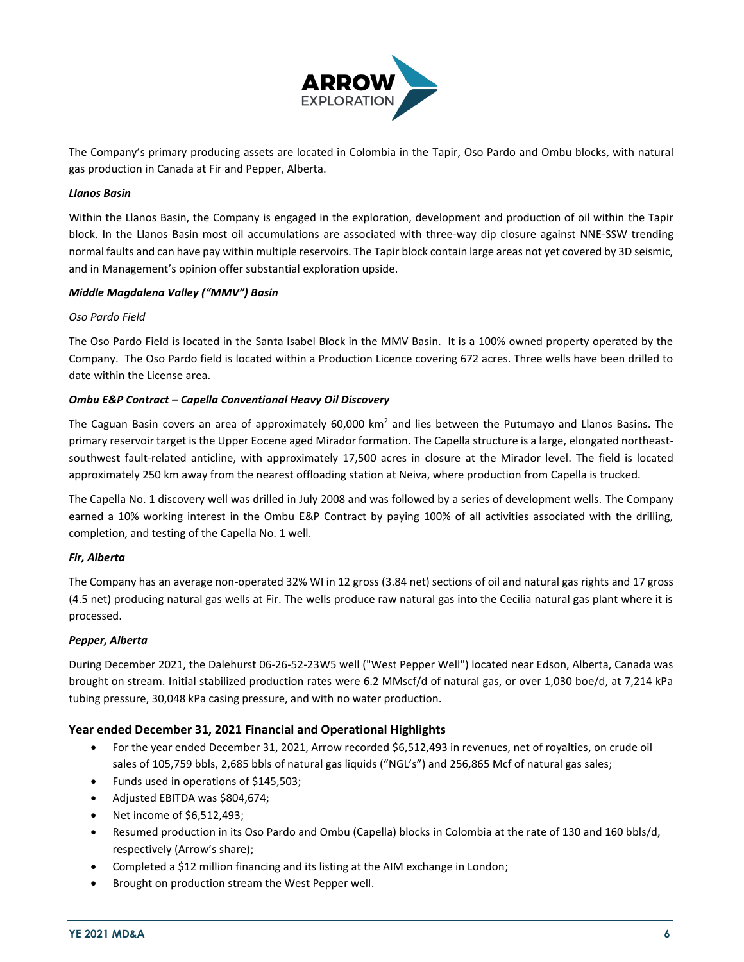

The Company's primary producing assets are located in Colombia in the Tapir, Oso Pardo and Ombu blocks, with natural gas production in Canada at Fir and Pepper, Alberta.

## *Llanos Basin*

Within the Llanos Basin, the Company is engaged in the exploration, development and production of oil within the Tapir block. In the Llanos Basin most oil accumulations are associated with three-way dip closure against NNE-SSW trending normal faults and can have pay within multiple reservoirs. The Tapir block contain large areas not yet covered by 3D seismic, and in Management's opinion offer substantial exploration upside.

#### *Middle Magdalena Valley ("MMV") Basin*

#### *Oso Pardo Field*

The Oso Pardo Field is located in the Santa Isabel Block in the MMV Basin. It is a 100% owned property operated by the Company. The Oso Pardo field is located within a Production Licence covering 672 acres. Three wells have been drilled to date within the License area.

#### *Ombu E&P Contract – Capella Conventional Heavy Oil Discovery*

The Caguan Basin covers an area of approximately 60,000 km<sup>2</sup> and lies between the Putumayo and Llanos Basins. The primary reservoir target is the Upper Eocene aged Mirador formation. The Capella structure is a large, elongated northeastsouthwest fault-related anticline, with approximately 17,500 acres in closure at the Mirador level. The field is located approximately 250 km away from the nearest offloading station at Neiva, where production from Capella is trucked.

The Capella No. 1 discovery well was drilled in July 2008 and was followed by a series of development wells. The Company earned a 10% working interest in the Ombu E&P Contract by paying 100% of all activities associated with the drilling, completion, and testing of the Capella No. 1 well.

## *Fir, Alberta*

The Company has an average non-operated 32% WI in 12 gross (3.84 net) sections of oil and natural gas rights and 17 gross (4.5 net) producing natural gas wells at Fir. The wells produce raw natural gas into the Cecilia natural gas plant where it is processed.

#### *Pepper, Alberta*

During December 2021, the Dalehurst 06-26-52-23W5 well ("West Pepper Well") located near Edson, Alberta, Canada was brought on stream. Initial stabilized production rates were 6.2 MMscf/d of natural gas, or over 1,030 boe/d, at 7,214 kPa tubing pressure, 30,048 kPa casing pressure, and with no water production.

## **Year ended December 31, 2021 Financial and Operational Highlights**

- For the year ended December 31, 2021, Arrow recorded \$6,512,493 in revenues, net of royalties, on crude oil sales of 105,759 bbls, 2,685 bbls of natural gas liquids ("NGL's") and 256,865 Mcf of natural gas sales;
- Funds used in operations of \$145,503;
- Adjusted EBITDA was \$804,674;
- Net income of \$6,512,493;
- Resumed production in its Oso Pardo and Ombu (Capella) blocks in Colombia at the rate of 130 and 160 bbls/d, respectively (Arrow's share);
- Completed a \$12 million financing and its listing at the AIM exchange in London;
- Brought on production stream the West Pepper well.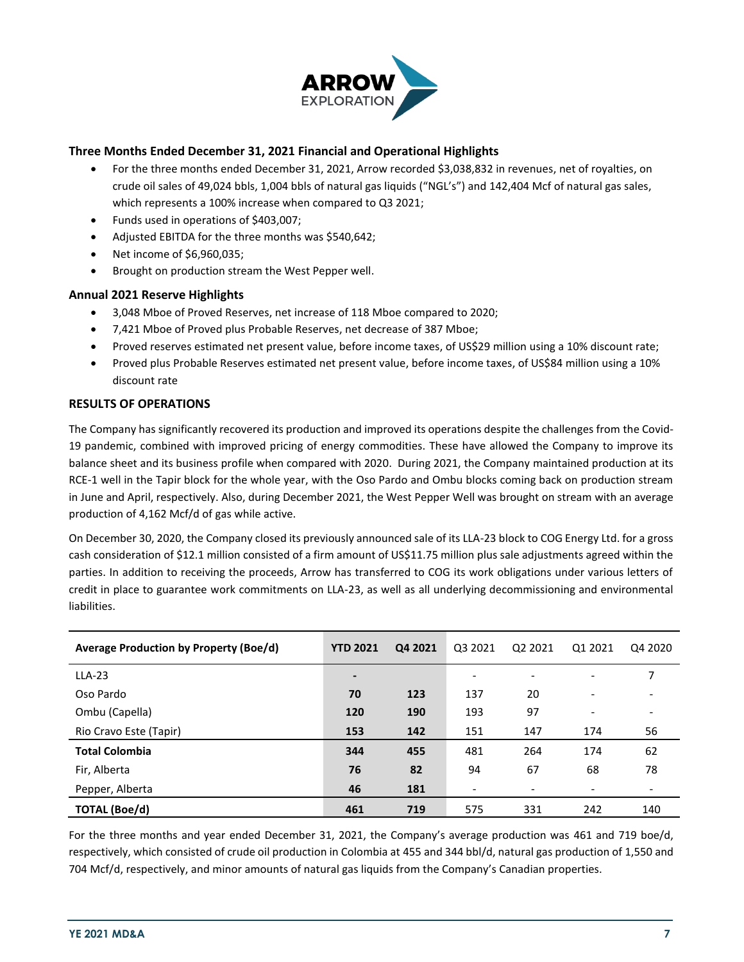

## **Three Months Ended December 31, 2021 Financial and Operational Highlights**

- For the three months ended December 31, 2021, Arrow recorded \$3,038,832 in revenues, net of royalties, on crude oil sales of 49,024 bbls, 1,004 bbls of natural gas liquids ("NGL's") and 142,404 Mcf of natural gas sales, which represents a 100% increase when compared to Q3 2021;
- Funds used in operations of \$403,007;
- Adjusted EBITDA for the three months was \$540,642;
- Net income of \$6,960,035;
- Brought on production stream the West Pepper well.

## **Annual 2021 Reserve Highlights**

- 3,048 Mboe of Proved Reserves, net increase of 118 Mboe compared to 2020;
- 7,421 Mboe of Proved plus Probable Reserves, net decrease of 387 Mboe;
- Proved reserves estimated net present value, before income taxes, of US\$29 million using a 10% discount rate;
- Proved plus Probable Reserves estimated net present value, before income taxes, of US\$84 million using a 10% discount rate

## **RESULTS OF OPERATIONS**

The Company has significantly recovered its production and improved its operations despite the challenges from the Covid-19 pandemic, combined with improved pricing of energy commodities. These have allowed the Company to improve its balance sheet and its business profile when compared with 2020. During 2021, the Company maintained production at its RCE-1 well in the Tapir block for the whole year, with the Oso Pardo and Ombu blocks coming back on production stream in June and April, respectively. Also, during December 2021, the West Pepper Well was brought on stream with an average production of 4,162 Mcf/d of gas while active.

On December 30, 2020, the Company closed its previously announced sale of its LLA-23 block to COG Energy Ltd. for a gross cash consideration of \$12.1 million consisted of a firm amount of US\$11.75 million plus sale adjustments agreed within the parties. In addition to receiving the proceeds, Arrow has transferred to COG its work obligations under various letters of credit in place to guarantee work commitments on LLA-23, as well as all underlying decommissioning and environmental liabilities.

| Average Production by Property (Boe/d) | <b>YTD 2021</b> | Q4 2021 | Q3 2021                  | Q2 2021 | Q1 2021                  | Q4 2020 |
|----------------------------------------|-----------------|---------|--------------------------|---------|--------------------------|---------|
| $LLA-23$                               | -               |         | ۰                        |         |                          |         |
| Oso Pardo                              | 70              | 123     | 137                      | 20      | $\overline{\phantom{0}}$ |         |
| Ombu (Capella)                         | 120             | 190     | 193                      | 97      | -                        |         |
| Rio Cravo Este (Tapir)                 | 153             | 142     | 151                      | 147     | 174                      | 56      |
| <b>Total Colombia</b>                  | 344             | 455     | 481                      | 264     | 174                      | 62      |
| Fir, Alberta                           | 76              | 82      | 94                       | 67      | 68                       | 78      |
| Pepper, Alberta                        | 46              | 181     | $\overline{\phantom{a}}$ |         |                          |         |
| <b>TOTAL (Boe/d)</b>                   | 461             | 719     | 575                      | 331     | 242                      | 140     |

For the three months and year ended December 31, 2021, the Company's average production was 461 and 719 boe/d, respectively, which consisted of crude oil production in Colombia at 455 and 344 bbl/d, natural gas production of 1,550 and 704 Mcf/d, respectively, and minor amounts of natural gas liquids from the Company's Canadian properties.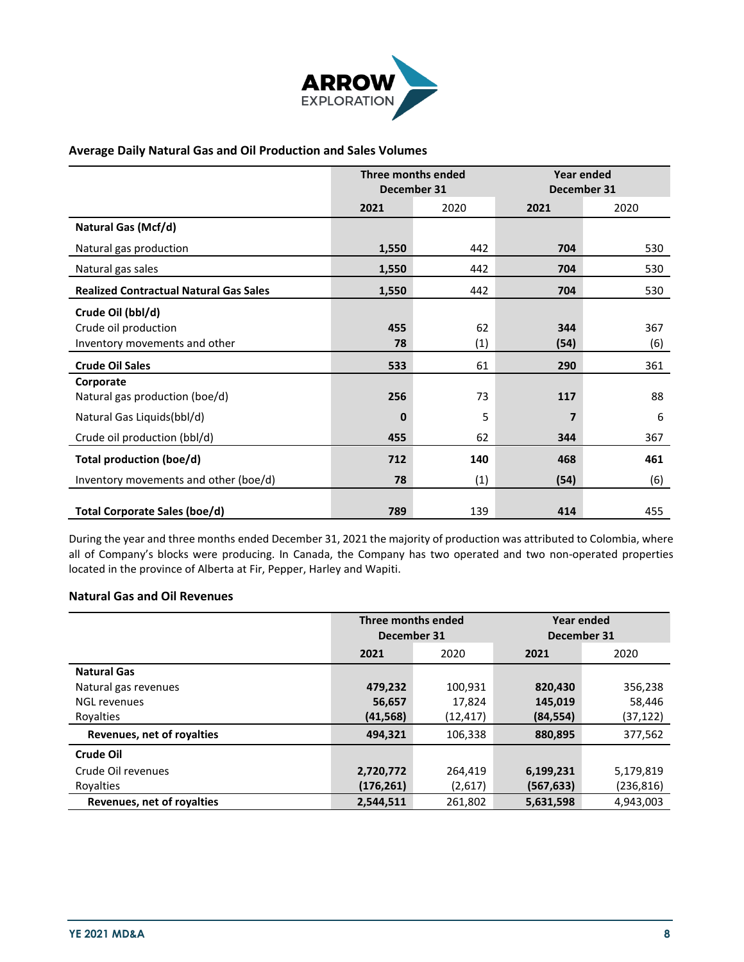

## **Average Daily Natural Gas and Oil Production and Sales Volumes**

|                                                                            | Three months ended<br>December 31 |           | <b>Year ended</b><br>December 31 |            |
|----------------------------------------------------------------------------|-----------------------------------|-----------|----------------------------------|------------|
|                                                                            | 2021                              | 2020      | 2021                             | 2020       |
| <b>Natural Gas (Mcf/d)</b>                                                 |                                   |           |                                  |            |
| Natural gas production                                                     | 1,550                             | 442       | 704                              | 530        |
| Natural gas sales                                                          | 1,550                             | 442       | 704                              | 530        |
| <b>Realized Contractual Natural Gas Sales</b>                              | 1,550                             | 442       | 704                              | 530        |
| Crude Oil (bbl/d)<br>Crude oil production<br>Inventory movements and other | 455<br>78                         | 62<br>(1) | 344<br>(54)                      | 367<br>(6) |
| <b>Crude Oil Sales</b>                                                     | 533                               | 61        | 290                              | 361        |
| Corporate<br>Natural gas production (boe/d)<br>Natural Gas Liquids(bbl/d)  | 256<br>$\bf{0}$                   | 73<br>5   | 117<br>7                         | 88<br>6    |
| Crude oil production (bbl/d)                                               | 455                               | 62        | 344                              | 367        |
| <b>Total production (boe/d)</b>                                            | 712                               | 140       | 468                              | 461        |
| Inventory movements and other (boe/d)                                      | 78                                | (1)       | (54)                             | (6)        |
| Total Corporate Sales (boe/d)                                              | 789                               | 139       | 414                              | 455        |

During the year and three months ended December 31, 2021 the majority of production was attributed to Colombia, where all of Company's blocks were producing. In Canada, the Company has two operated and two non-operated properties located in the province of Alberta at Fir, Pepper, Harley and Wapiti.

## **Natural Gas and Oil Revenues**

|                            | Three months ended<br>December 31 |           | Year ended<br>December 31 |            |
|----------------------------|-----------------------------------|-----------|---------------------------|------------|
|                            | 2021                              | 2020      |                           | 2020       |
| <b>Natural Gas</b>         |                                   |           |                           |            |
| Natural gas revenues       | 479,232                           | 100,931   | 820,430                   | 356,238    |
| <b>NGL revenues</b>        | 56,657                            | 17,824    | 145,019                   | 58,446     |
| Rovalties                  | (41, 568)                         | (12, 417) | (84, 554)                 | (37, 122)  |
| Revenues, net of royalties | 494.321                           | 106,338   | 880,895                   | 377,562    |
| Crude Oil                  |                                   |           |                           |            |
| Crude Oil revenues         | 2,720,772                         | 264,419   | 6,199,231                 | 5,179,819  |
| Royalties                  | (176, 261)                        | (2,617)   | (567, 633)                | (236, 816) |
| Revenues, net of royalties | 2.544.511                         | 261.802   | 5.631.598                 | 4.943.003  |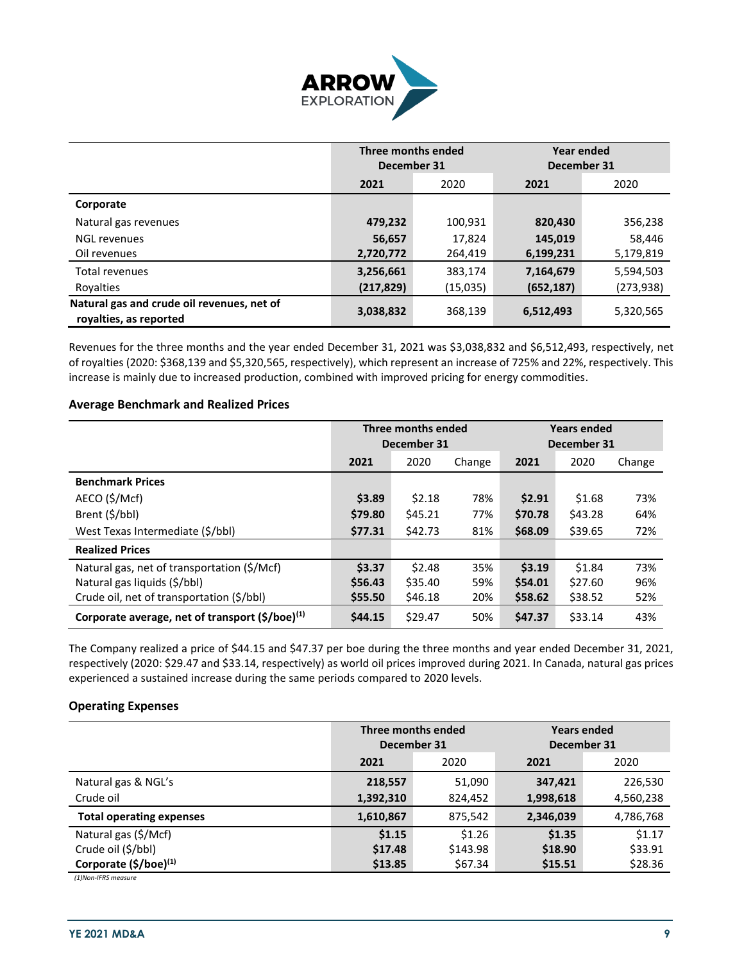

|                                                                      | <b>Three months ended</b><br>December 31 |          | Year ended<br>December 31 |           |  |
|----------------------------------------------------------------------|------------------------------------------|----------|---------------------------|-----------|--|
|                                                                      | 2021                                     | 2020     |                           | 2020      |  |
| Corporate                                                            |                                          |          |                           |           |  |
| Natural gas revenues                                                 | 479,232                                  | 100,931  | 820,430                   | 356,238   |  |
| <b>NGL revenues</b>                                                  | 56,657                                   | 17.824   | 145,019                   | 58,446    |  |
| Oil revenues                                                         | 2,720,772                                | 264,419  | 6,199,231                 | 5,179,819 |  |
| <b>Total revenues</b>                                                | 3,256,661                                | 383,174  | 7,164,679                 | 5,594,503 |  |
| Royalties                                                            | (217, 829)                               | (15,035) | (652, 187)                | (273,938) |  |
| Natural gas and crude oil revenues, net of<br>royalties, as reported | 3,038,832                                | 368,139  | 6,512,493                 | 5,320,565 |  |

Revenues for the three months and the year ended December 31, 2021 was \$3,038,832 and \$6,512,493, respectively, net of royalties (2020: \$368,139 and \$5,320,565, respectively), which represent an increase of 725% and 22%, respectively. This increase is mainly due to increased production, combined with improved pricing for energy commodities.

## **Average Benchmark and Realized Prices**

|                                                             | Three months ended<br>December 31 |         |        | <b>Years ended</b><br>December 31 |         |        |
|-------------------------------------------------------------|-----------------------------------|---------|--------|-----------------------------------|---------|--------|
|                                                             | 2021                              | 2020    | Change | 2021                              | 2020    | Change |
| <b>Benchmark Prices</b>                                     |                                   |         |        |                                   |         |        |
| AECO (\$/Mcf)                                               | \$3.89                            | \$2.18  | 78%    | \$2.91                            | \$1.68  | 73%    |
| Brent (\$/bbl)                                              | \$79.80                           | \$45.21 | 77%    | \$70.78                           | \$43.28 | 64%    |
| West Texas Intermediate (\$/bbl)                            | \$77.31                           | \$42.73 | 81%    | \$68.09                           | \$39.65 | 72%    |
| <b>Realized Prices</b>                                      |                                   |         |        |                                   |         |        |
| Natural gas, net of transportation (\$/Mcf)                 | \$3.37                            | \$2.48  | 35%    | \$3.19                            | \$1.84  | 73%    |
| Natural gas liquids (\$/bbl)                                | \$56.43                           | \$35.40 | 59%    | \$54.01                           | \$27.60 | 96%    |
| Crude oil, net of transportation (\$/bbl)                   | \$55.50                           | \$46.18 | 20%    | \$58.62                           | \$38.52 | 52%    |
| Corporate average, net of transport (\$/boe) <sup>(1)</sup> | \$44.15                           | \$29.47 | 50%    | \$47.37                           | \$33.14 | 43%    |

The Company realized a price of \$44.15 and \$47.37 per boe during the three months and year ended December 31, 2021, respectively (2020: \$29.47 and \$33.14, respectively) as world oil prices improved during 2021. In Canada, natural gas prices experienced a sustained increase during the same periods compared to 2020 levels.

## **Operating Expenses**

|                                   | December 31 | Three months ended | <b>Years ended</b><br>December 31 |           |  |
|-----------------------------------|-------------|--------------------|-----------------------------------|-----------|--|
|                                   | 2021        | 2020<br>2021       |                                   |           |  |
| Natural gas & NGL's               | 218,557     | 51,090             | 347,421                           | 226,530   |  |
| Crude oil                         | 1,392,310   | 824,452            | 1,998,618                         | 4,560,238 |  |
| <b>Total operating expenses</b>   | 1,610,867   | 875,542            | 2,346,039                         | 4,786,768 |  |
| Natural gas (\$/Mcf)              | \$1.15      | \$1.26             | \$1.35                            | \$1.17    |  |
| Crude oil (\$/bbl)                | \$17.48     | \$143.98           | \$18.90                           | \$33.91   |  |
| Corporate (\$/boe) <sup>(1)</sup> | \$13.85     | \$67.34            | \$15.51                           | \$28.36   |  |

*(1)Non-IFRS measure*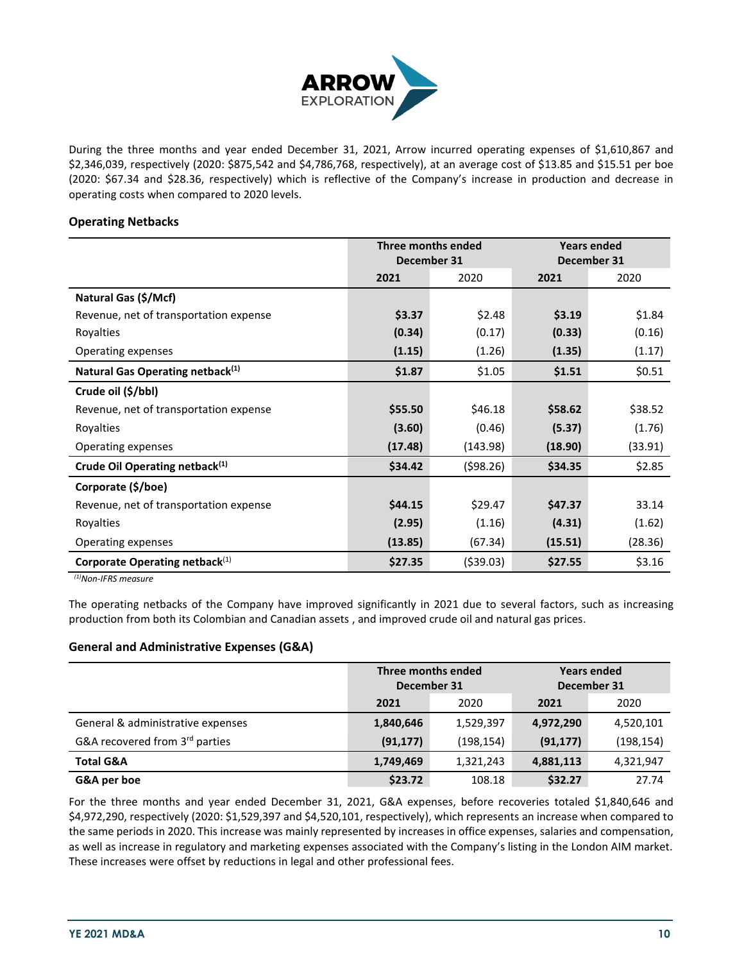

During the three months and year ended December 31, 2021, Arrow incurred operating expenses of \$1,610,867 and \$2,346,039, respectively (2020: \$875,542 and \$4,786,768, respectively), at an average cost of \$13.85 and \$15.51 per boe (2020: \$67.34 and \$28.36, respectively) which is reflective of the Company's increase in production and decrease in operating costs when compared to 2020 levels.

## **Operating Netbacks**

|                                              | Three months ended |             | <b>Years ended</b> |         |
|----------------------------------------------|--------------------|-------------|--------------------|---------|
|                                              |                    | December 31 | December 31        |         |
|                                              | 2021               | 2020        | 2021               | 2020    |
| Natural Gas (\$/Mcf)                         |                    |             |                    |         |
| Revenue, net of transportation expense       | \$3.37             | \$2.48      | \$3.19             | \$1.84  |
| Royalties                                    | (0.34)             | (0.17)      | (0.33)             | (0.16)  |
| Operating expenses                           | (1.15)             | (1.26)      | (1.35)             | (1.17)  |
| Natural Gas Operating netback <sup>(1)</sup> | \$1.87             | \$1.05      | \$1.51             | \$0.51  |
| Crude oil (\$/bbl)                           |                    |             |                    |         |
| Revenue, net of transportation expense       | \$55.50            | \$46.18     | \$58.62            | \$38.52 |
| Royalties                                    | (3.60)             | (0.46)      | (5.37)             | (1.76)  |
| Operating expenses                           | (17.48)            | (143.98)    | (18.90)            | (33.91) |
| Crude Oil Operating netback <sup>(1)</sup>   | \$34.42            | (598.26)    | \$34.35            | \$2.85  |
| Corporate (\$/boe)                           |                    |             |                    |         |
| Revenue, net of transportation expense       | \$44.15            | \$29.47     | \$47.37            | 33.14   |
| Royalties                                    | (2.95)             | (1.16)      | (4.31)             | (1.62)  |
| Operating expenses                           | (13.85)            | (67.34)     | (15.51)            | (28.36) |
| Corporate Operating netback <sup>(1)</sup>   | \$27.35            | (\$39.03)   | \$27.55            | \$3.16  |

*(1)Non-IFRS measure*

The operating netbacks of the Company have improved significantly in 2021 due to several factors, such as increasing production from both its Colombian and Canadian assets , and improved crude oil and natural gas prices.

## **General and Administrative Expenses (G&A)**

|                                   | Three months ended |            |             | <b>Years ended</b> |
|-----------------------------------|--------------------|------------|-------------|--------------------|
|                                   | December 31        |            | December 31 |                    |
|                                   | 2021               | 2020       | 2021        | 2020               |
| General & administrative expenses | 1,840,646          | 1,529,397  | 4,972,290   | 4,520,101          |
| G&A recovered from 3rd parties    | (91, 177)          | (198, 154) | (91, 177)   | (198, 154)         |
| <b>Total G&amp;A</b>              | 1,749,469          | 1,321,243  | 4,881,113   | 4,321,947          |
| G&A per boe                       | \$23.72            | 108.18     | \$32.27     | 27.74              |

For the three months and year ended December 31, 2021, G&A expenses, before recoveries totaled \$1,840,646 and \$4,972,290, respectively (2020: \$1,529,397 and \$4,520,101, respectively), which represents an increase when compared to the same periods in 2020. This increase was mainly represented by increases in office expenses, salaries and compensation, as well as increase in regulatory and marketing expenses associated with the Company's listing in the London AIM market. These increases were offset by reductions in legal and other professional fees.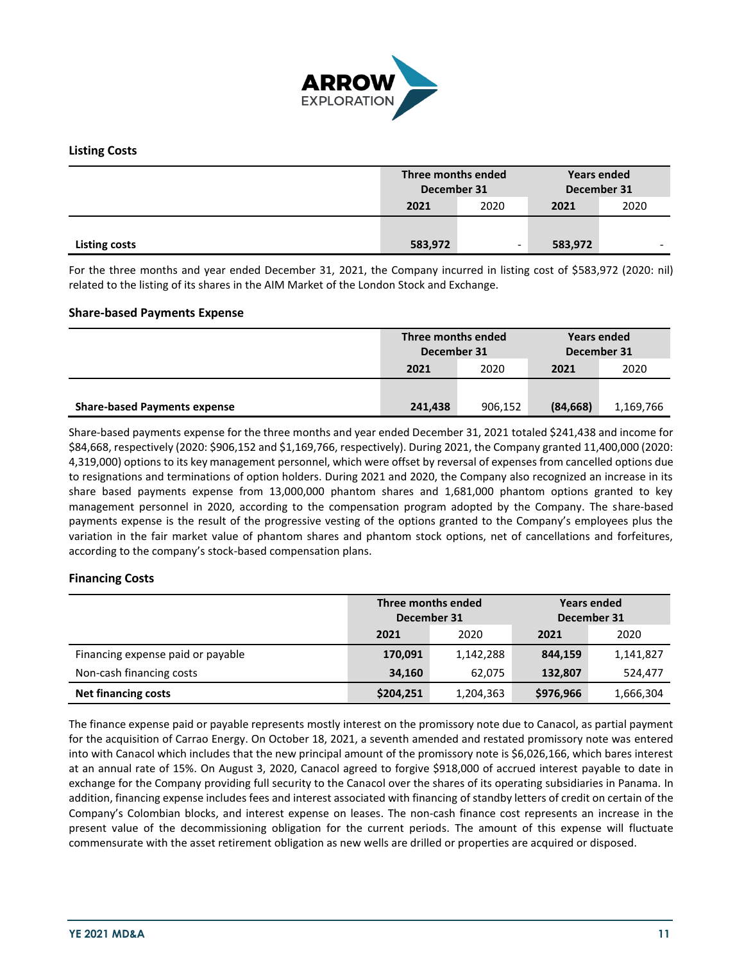

## **Listing Costs**

|                      | Three months ended<br>December 31 |      | <b>Years ended</b><br>December 31 |                          |
|----------------------|-----------------------------------|------|-----------------------------------|--------------------------|
|                      | 2021                              | 2020 | 2021                              | 2020                     |
|                      |                                   |      |                                   |                          |
| <b>Listing costs</b> | 583,972                           |      | 583,972                           | $\overline{\phantom{0}}$ |

For the three months and year ended December 31, 2021, the Company incurred in listing cost of \$583,972 (2020: nil) related to the listing of its shares in the AIM Market of the London Stock and Exchange.

#### **Share-based Payments Expense**

|                                     | Three months ended<br>December 31 |         | <b>Years ended</b><br>December 31 |           |
|-------------------------------------|-----------------------------------|---------|-----------------------------------|-----------|
|                                     | 2021                              | 2020    | 2021                              | 2020      |
|                                     |                                   |         |                                   |           |
| <b>Share-based Payments expense</b> | 241,438                           | 906.152 | (84, 668)                         | 1,169,766 |

Share-based payments expense for the three months and year ended December 31, 2021 totaled \$241,438 and income for \$84,668, respectively (2020: \$906,152 and \$1,169,766, respectively). During 2021, the Company granted 11,400,000 (2020: 4,319,000) options to its key management personnel, which were offset by reversal of expenses from cancelled options due to resignations and terminations of option holders. During 2021 and 2020, the Company also recognized an increase in its share based payments expense from 13,000,000 phantom shares and 1,681,000 phantom options granted to key management personnel in 2020, according to the compensation program adopted by the Company. The share-based payments expense is the result of the progressive vesting of the options granted to the Company's employees plus the variation in the fair market value of phantom shares and phantom stock options, net of cancellations and forfeitures, according to the company's stock-based compensation plans.

## **Financing Costs**

|                                   | Three months ended<br>December 31 |           | <b>Years ended</b><br>December 31 |           |  |
|-----------------------------------|-----------------------------------|-----------|-----------------------------------|-----------|--|
|                                   | 2021                              | 2020      | 2021                              | 2020      |  |
| Financing expense paid or payable | 170,091                           | 1,142,288 | 844,159                           | 1,141,827 |  |
| Non-cash financing costs          | 34,160                            | 62.075    | 132,807                           | 524,477   |  |
| <b>Net financing costs</b>        | \$204,251                         | 1,204,363 | \$976,966                         | 1,666,304 |  |

The finance expense paid or payable represents mostly interest on the promissory note due to Canacol, as partial payment for the acquisition of Carrao Energy. On October 18, 2021, a seventh amended and restated promissory note was entered into with Canacol which includes that the new principal amount of the promissory note is \$6,026,166, which bares interest at an annual rate of 15%. On August 3, 2020, Canacol agreed to forgive \$918,000 of accrued interest payable to date in exchange for the Company providing full security to the Canacol over the shares of its operating subsidiaries in Panama. In addition, financing expense includes fees and interest associated with financing of standby letters of credit on certain of the Company's Colombian blocks, and interest expense on leases. The non-cash finance cost represents an increase in the present value of the decommissioning obligation for the current periods. The amount of this expense will fluctuate commensurate with the asset retirement obligation as new wells are drilled or properties are acquired or disposed.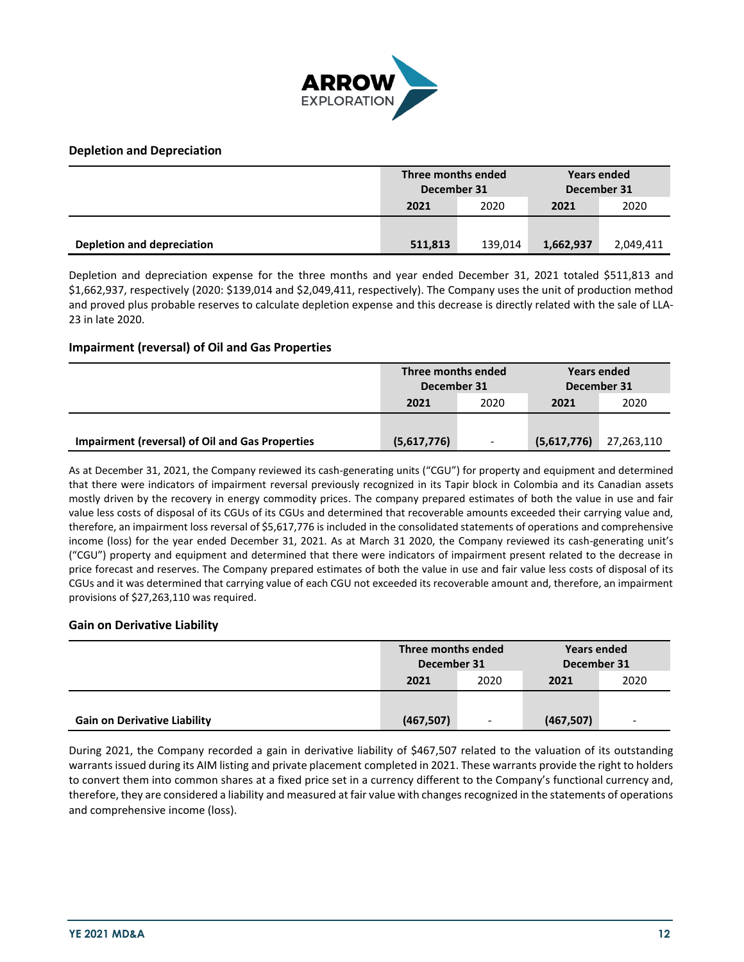

## **Depletion and Depreciation**

|                            | Three months ended<br>December 31 |         | <b>Years ended</b><br>December 31 |           |
|----------------------------|-----------------------------------|---------|-----------------------------------|-----------|
|                            | 2021                              | 2020    | 2021                              | 2020      |
|                            |                                   |         |                                   |           |
| Depletion and depreciation | 511,813                           | 139.014 | 1,662,937                         | 2,049,411 |

Depletion and depreciation expense for the three months and year ended December 31, 2021 totaled \$511,813 and \$1,662,937, respectively (2020: \$139,014 and \$2,049,411, respectively). The Company uses the unit of production method and proved plus probable reserves to calculate depletion expense and this decrease is directly related with the sale of LLA-23 in late 2020.

## **Impairment (reversal) of Oil and Gas Properties**

|                                                        | Three months ended<br>December 31 |                          | Years ended<br>December 31 |            |
|--------------------------------------------------------|-----------------------------------|--------------------------|----------------------------|------------|
|                                                        | 2021                              | 2020                     | 2021                       | 2020       |
|                                                        |                                   |                          |                            |            |
| <b>Impairment (reversal) of Oil and Gas Properties</b> | (5,617,776)                       | $\overline{\phantom{a}}$ | (5,617,776)                | 27,263,110 |

As at December 31, 2021, the Company reviewed its cash-generating units ("CGU") for property and equipment and determined that there were indicators of impairment reversal previously recognized in its Tapir block in Colombia and its Canadian assets mostly driven by the recovery in energy commodity prices. The company prepared estimates of both the value in use and fair value less costs of disposal of its CGUs of its CGUs and determined that recoverable amounts exceeded their carrying value and, therefore, an impairment loss reversal of \$5,617,776 is included in the consolidated statements of operations and comprehensive income (loss) for the year ended December 31, 2021. As at March 31 2020, the Company reviewed its cash-generating unit's ("CGU") property and equipment and determined that there were indicators of impairment present related to the decrease in price forecast and reserves. The Company prepared estimates of both the value in use and fair value less costs of disposal of its CGUs and it was determined that carrying value of each CGU not exceeded its recoverable amount and, therefore, an impairment provisions of \$27,263,110 was required.

## **Gain on Derivative Liability**

|                                     | Three months ended<br>December 31 |                          | <b>Years ended</b><br>December 31 |                          |
|-------------------------------------|-----------------------------------|--------------------------|-----------------------------------|--------------------------|
|                                     | 2021                              | 2020                     | 2021                              | 2020                     |
|                                     |                                   |                          |                                   |                          |
| <b>Gain on Derivative Liability</b> | (467, 507)                        | $\overline{\phantom{a}}$ | (467, 507)                        | $\overline{\phantom{0}}$ |

During 2021, the Company recorded a gain in derivative liability of \$467,507 related to the valuation of its outstanding warrants issued during its AIM listing and private placement completed in 2021. These warrants provide the right to holders to convert them into common shares at a fixed price set in a currency different to the Company's functional currency and, therefore, they are considered a liability and measured at fair value with changes recognized in the statements of operations and comprehensive income (loss).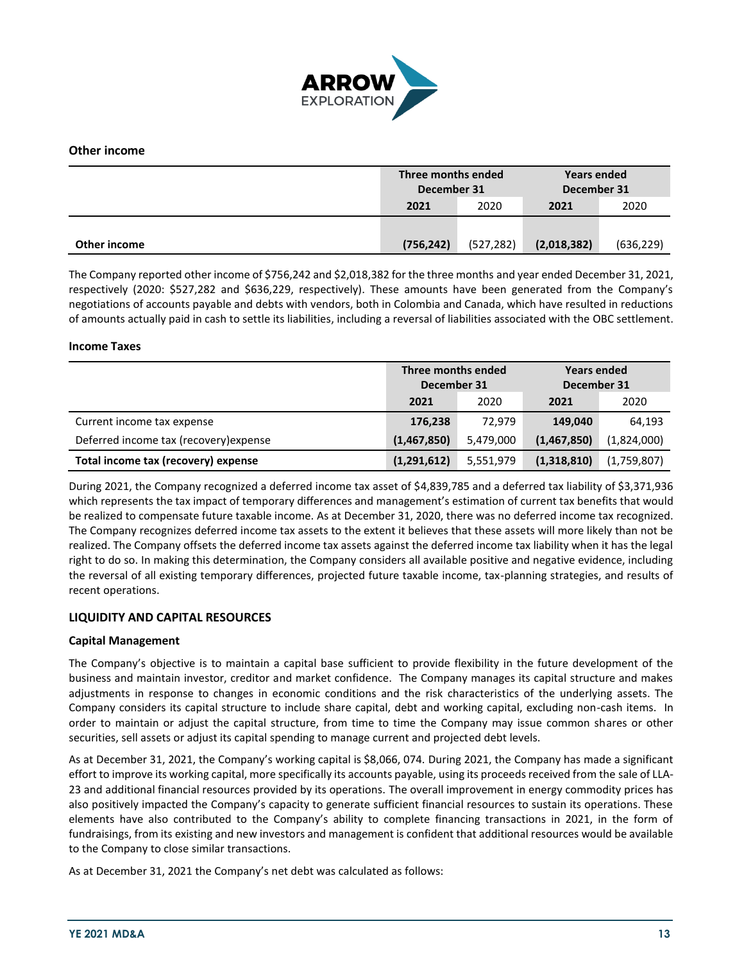

## **Other income**

|              | Three months ended<br>December 31 |            | <b>Years ended</b><br>December 31 |            |
|--------------|-----------------------------------|------------|-----------------------------------|------------|
|              | 2021                              | 2020       | 2021                              | 2020       |
|              |                                   |            |                                   |            |
| Other income | (756, 242)                        | (527, 282) | (2,018,382)                       | (636, 229) |

The Company reported other income of \$756,242 and \$2,018,382 for the three months and year ended December 31, 2021, respectively (2020: \$527,282 and \$636,229, respectively). These amounts have been generated from the Company's negotiations of accounts payable and debts with vendors, both in Colombia and Canada, which have resulted in reductions of amounts actually paid in cash to settle its liabilities, including a reversal of liabilities associated with the OBC settlement.

#### **Income Taxes**

|                                        | Three months ended<br>December 31 |           | <b>Years ended</b><br>December 31 |             |  |
|----------------------------------------|-----------------------------------|-----------|-----------------------------------|-------------|--|
|                                        | 2021                              | 2020      | 2021                              | 2020        |  |
| Current income tax expense             | 176,238                           | 72.979    | 149.040                           | 64,193      |  |
| Deferred income tax (recovery) expense | (1,467,850)                       | 5,479,000 | (1,467,850)                       | (1,824,000) |  |
| Total income tax (recovery) expense    | (1,291,612)                       | 5,551,979 | (1,318,810)                       | (1,759,807) |  |

During 2021, the Company recognized a deferred income tax asset of \$4,839,785 and a deferred tax liability of \$3,371,936 which represents the tax impact of temporary differences and management's estimation of current tax benefits that would be realized to compensate future taxable income. As at December 31, 2020, there was no deferred income tax recognized. The Company recognizes deferred income tax assets to the extent it believes that these assets will more likely than not be realized. The Company offsets the deferred income tax assets against the deferred income tax liability when it has the legal right to do so. In making this determination, the Company considers all available positive and negative evidence, including the reversal of all existing temporary differences, projected future taxable income, tax-planning strategies, and results of recent operations.

## **LIQUIDITY AND CAPITAL RESOURCES**

#### **Capital Management**

The Company's objective is to maintain a capital base sufficient to provide flexibility in the future development of the business and maintain investor, creditor and market confidence. The Company manages its capital structure and makes adjustments in response to changes in economic conditions and the risk characteristics of the underlying assets. The Company considers its capital structure to include share capital, debt and working capital, excluding non-cash items. In order to maintain or adjust the capital structure, from time to time the Company may issue common shares or other securities, sell assets or adjust its capital spending to manage current and projected debt levels.

As at December 31, 2021, the Company's working capital is \$8,066, 074. During 2021, the Company has made a significant effort to improve its working capital, more specifically its accounts payable, using its proceeds received from the sale of LLA-23 and additional financial resources provided by its operations. The overall improvement in energy commodity prices has also positively impacted the Company's capacity to generate sufficient financial resources to sustain its operations. These elements have also contributed to the Company's ability to complete financing transactions in 2021, in the form of fundraisings, from its existing and new investors and management is confident that additional resources would be available to the Company to close similar transactions.

As at December 31, 2021 the Company's net debt was calculated as follows: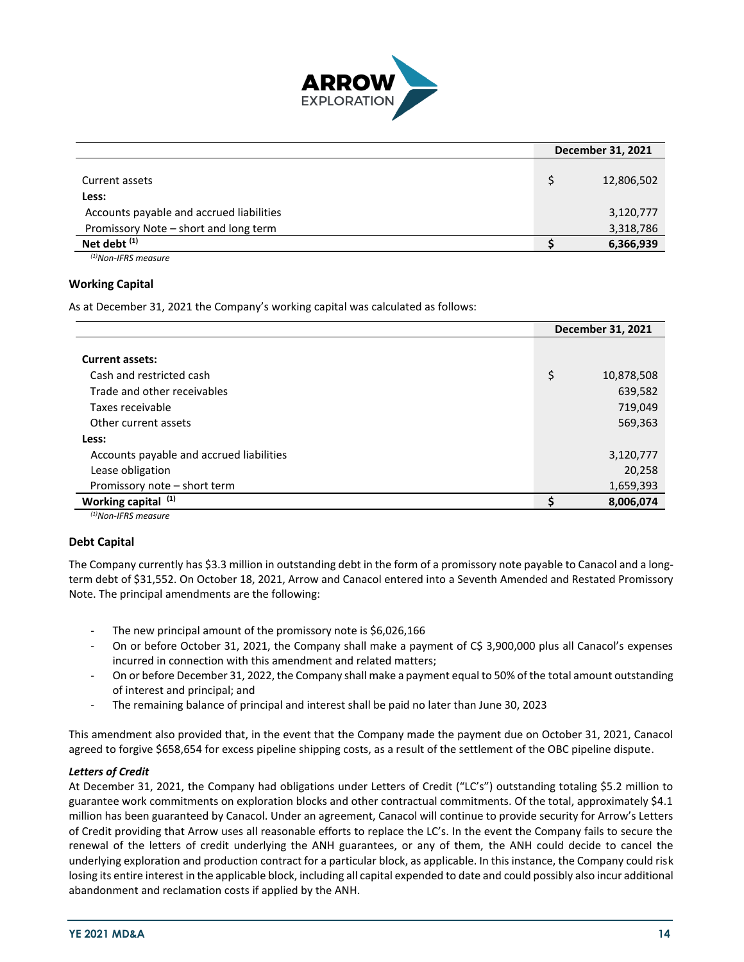

|                                                            | December 31, 2021 |
|------------------------------------------------------------|-------------------|
| Current assets                                             | 12,806,502        |
| Less:                                                      |                   |
| Accounts payable and accrued liabilities                   | 3,120,777         |
| Promissory Note - short and long term                      | 3,318,786         |
| Net debt <sup>(1)</sup>                                    | 6,366,939         |
| $\left(1181\right)$ $\left(1700\right)$ $\left(121\right)$ |                   |

*(1)Non-IFRS measure*

#### **Working Capital**

As at December 31, 2021 the Company's working capital was calculated as follows:

|                                          | December 31, 2021 |
|------------------------------------------|-------------------|
|                                          |                   |
| <b>Current assets:</b>                   |                   |
| Cash and restricted cash                 | \$<br>10,878,508  |
| Trade and other receivables              | 639,582           |
| Taxes receivable                         | 719,049           |
| Other current assets                     | 569,363           |
| Less:                                    |                   |
| Accounts payable and accrued liabilities | 3,120,777         |
| Lease obligation                         | 20,258            |
| Promissory note - short term             | 1,659,393         |
| Working capital (1)                      | 8,006,074         |
|                                          |                   |

*(1)Non-IFRS measure*

## **Debt Capital**

The Company currently has \$3.3 million in outstanding debt in the form of a promissory note payable to Canacol and a longterm debt of \$31,552. On October 18, 2021, Arrow and Canacol entered into a Seventh Amended and Restated Promissory Note. The principal amendments are the following:

- The new principal amount of the promissory note is \$6,026,166
- On or before October 31, 2021, the Company shall make a payment of C\$ 3,900,000 plus all Canacol's expenses incurred in connection with this amendment and related matters;
- On or before December 31, 2022, the Company shall make a payment equal to 50% of the total amount outstanding of interest and principal; and
- The remaining balance of principal and interest shall be paid no later than June 30, 2023

This amendment also provided that, in the event that the Company made the payment due on October 31, 2021, Canacol agreed to forgive \$658,654 for excess pipeline shipping costs, as a result of the settlement of the OBC pipeline dispute.

#### *Letters of Credit*

At December 31, 2021, the Company had obligations under Letters of Credit ("LC's") outstanding totaling \$5.2 million to guarantee work commitments on exploration blocks and other contractual commitments. Of the total, approximately \$4.1 million has been guaranteed by Canacol. Under an agreement, Canacol will continue to provide security for Arrow's Letters of Credit providing that Arrow uses all reasonable efforts to replace the LC's. In the event the Company fails to secure the renewal of the letters of credit underlying the ANH guarantees, or any of them, the ANH could decide to cancel the underlying exploration and production contract for a particular block, as applicable. In this instance, the Company could risk losing its entire interest in the applicable block, including all capital expended to date and could possibly also incur additional abandonment and reclamation costs if applied by the ANH.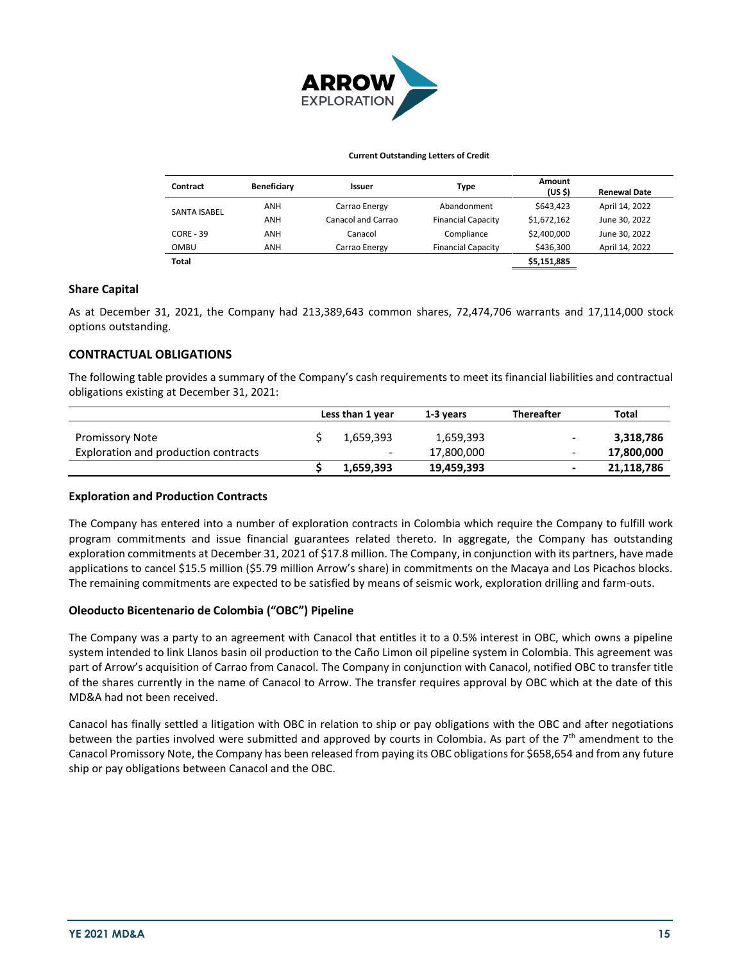

#### **Current Outstanding Letters of Credit**

| Contract            | Beneficiary | Issuer             | <b>Type</b>               | Amount<br>(US \$) | <b>Renewal Date</b> |
|---------------------|-------------|--------------------|---------------------------|-------------------|---------------------|
| <b>SANTA ISABEL</b> | ANH         | Carrao Energy      | Abandonment               | \$643.423         | April 14, 2022      |
|                     | ANH         | Canacol and Carrao | <b>Financial Capacity</b> | \$1,672,162       | June 30, 2022       |
| $CORE - 39$         | ANH         | Canacol            | Compliance                | \$2,400,000       | June 30, 2022       |
| <b>OMBU</b>         | ANH         | Carrao Energy      | <b>Financial Capacity</b> | \$436,300         | April 14, 2022      |
| <b>Total</b>        |             |                    |                           | \$5,151,885       |                     |

#### **Share Capital**

As at December 31, 2021, the Company had 213,389,643 common shares, 72,474,706 warrants and 17,114,000 stock options outstanding.

#### **CONTRACTUAL OBLIGATIONS**

The following table provides a summary of the Company's cash requirements to meet its financial liabilities and contractual obligations existing at December 31, 2021:

|                                      | Less than 1 year |                          | 1-3 vears  | <b>Thereafter</b> | Total      |
|--------------------------------------|------------------|--------------------------|------------|-------------------|------------|
| <b>Promissory Note</b>               |                  | 1,659,393                | 1,659,393  |                   | 3,318,786  |
| Exploration and production contracts |                  | $\overline{\phantom{0}}$ | 17,800,000 | -                 | 17,800,000 |
|                                      |                  | 1.659.393                | 19,459,393 |                   | 21,118,786 |

#### **Exploration and Production Contracts**

The Company has entered into a number of exploration contracts in Colombia which require the Company to fulfill work program commitments and issue financial guarantees related thereto. In aggregate, the Company has outstanding exploration commitments at December 31, 2021 of \$17.8 million. The Company, in conjunction with its partners, have made applications to cancel \$15.5 million (\$5.79 million Arrow's share) in commitments on the Macaya and Los Picachos blocks. The remaining commitments are expected to be satisfied by means of seismic work, exploration drilling and farm-outs.

#### **Oleoducto Bicentenario de Colombia ("OBC") Pipeline**

The Company was a party to an agreement with Canacol that entitles it to a 0.5% interest in OBC, which owns a pipeline system intended to link Llanos basin oil production to the Caño Limon oil pipeline system in Colombia. This agreement was part of Arrow's acquisition of Carrao from Canacol. The Company in conjunction with Canacol, notified OBC to transfer title of the shares currently in the name of Canacol to Arrow. The transfer requires approval by OBC which at the date of this MD&A had not been received.

Canacol has finally settled a litigation with OBC in relation to ship or pay obligations with the OBC and after negotiations between the parties involved were submitted and approved by courts in Colombia. As part of the 7<sup>th</sup> amendment to the Canacol Promissory Note, the Company has been released from paying its OBC obligations for \$658,654 and from any future ship or pay obligations between Canacol and the OBC.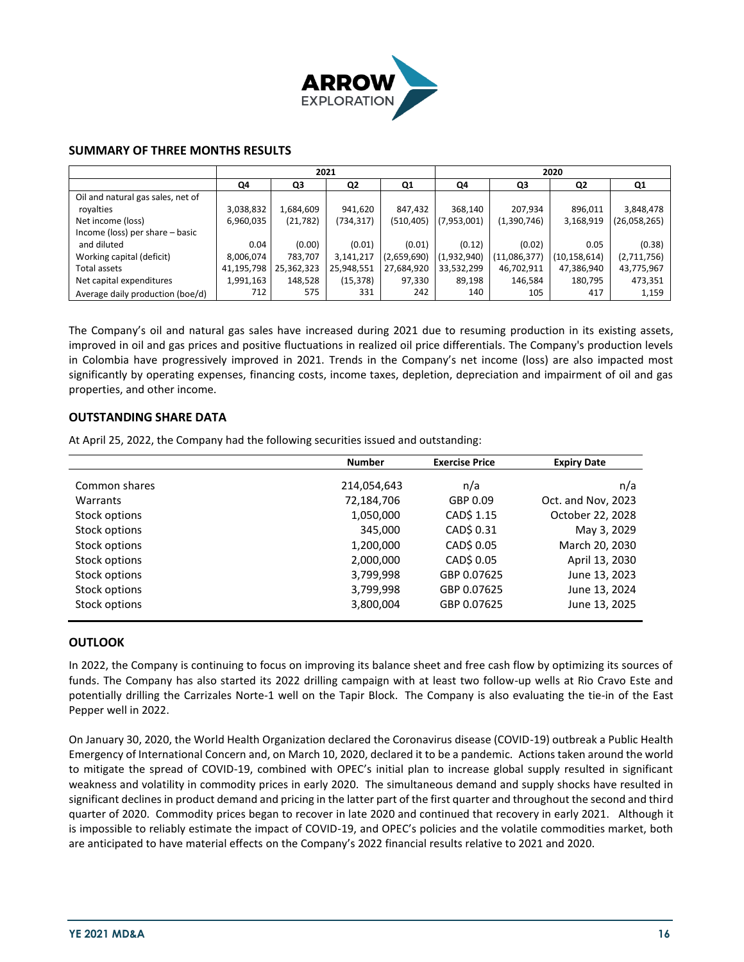

## **SUMMARY OF THREE MONTHS RESULTS**

|                                   |            | 2021       |                |             |             | 2020         |                |              |  |
|-----------------------------------|------------|------------|----------------|-------------|-------------|--------------|----------------|--------------|--|
|                                   | Q4         | Q3         | Q <sub>2</sub> | Q1          | Q4          | Q3           | Q2             | Q1           |  |
| Oil and natural gas sales, net of |            |            |                |             |             |              |                |              |  |
| royalties                         | 3,038,832  | 1,684,609  | 941,620        | 847,432     | 368,140     | 207,934      | 896,011        | 3,848,478    |  |
| Net income (loss)                 | 6,960,035  | (21, 782)  | (734,317)      | (510, 405)  | (7,953,001) | (1,390,746)  | 3,168,919      | (26,058,265) |  |
| Income (loss) per share - basic   |            |            |                |             |             |              |                |              |  |
| and diluted                       | 0.04       | (0.00)     | (0.01)         | (0.01)      | (0.12)      | (0.02)       | 0.05           | (0.38)       |  |
| Working capital (deficit)         | 8,006,074  | 783,707    | 3,141,217      | (2,659,690) | (1,932,940) | (11,086,377) | (10, 158, 614) | (2,711,756)  |  |
| Total assets                      | 41,195,798 | 25,362,323 | 25,948,551     | 27,684,920  | 33,532,299  | 46,702,911   | 47,386,940     | 43,775,967   |  |
| Net capital expenditures          | 1,991,163  | 148,528    | (15, 378)      | 97,330      | 89,198      | 146,584      | 180,795        | 473,351      |  |
| Average daily production (boe/d)  | 712        | 575        | 331            | 242         | 140         | 105          | 417            | 1,159        |  |

The Company's oil and natural gas sales have increased during 2021 due to resuming production in its existing assets, improved in oil and gas prices and positive fluctuations in realized oil price differentials. The Company's production levels in Colombia have progressively improved in 2021. Trends in the Company's net income (loss) are also impacted most significantly by operating expenses, financing costs, income taxes, depletion, depreciation and impairment of oil and gas properties, and other income.

## **OUTSTANDING SHARE DATA**

At April 25, 2022, the Company had the following securities issued and outstanding:

|               | <b>Number</b> | <b>Exercise Price</b> | <b>Expiry Date</b> |
|---------------|---------------|-----------------------|--------------------|
| Common shares | 214,054,643   | n/a                   | n/a                |
| Warrants      | 72,184,706    | GBP 0.09              | Oct. and Nov, 2023 |
| Stock options | 1,050,000     | CAD\$ 1.15            | October 22, 2028   |
| Stock options | 345,000       | CAD\$ 0.31            | May 3, 2029        |
| Stock options | 1,200,000     | CAD\$ 0.05            | March 20, 2030     |
| Stock options | 2,000,000     | CAD\$ 0.05            | April 13, 2030     |
| Stock options | 3,799,998     | GBP 0.07625           | June 13, 2023      |
| Stock options | 3,799,998     | GBP 0.07625           | June 13, 2024      |
| Stock options | 3,800,004     | GBP 0.07625           | June 13, 2025      |

## **OUTLOOK**

In 2022, the Company is continuing to focus on improving its balance sheet and free cash flow by optimizing its sources of funds. The Company has also started its 2022 drilling campaign with at least two follow-up wells at Rio Cravo Este and potentially drilling the Carrizales Norte-1 well on the Tapir Block. The Company is also evaluating the tie-in of the East Pepper well in 2022.

On January 30, 2020, the World Health Organization declared the Coronavirus disease (COVID-19) outbreak a Public Health Emergency of International Concern and, on March 10, 2020, declared it to be a pandemic. Actions taken around the world to mitigate the spread of COVID-19, combined with OPEC's initial plan to increase global supply resulted in significant weakness and volatility in commodity prices in early 2020. The simultaneous demand and supply shocks have resulted in significant declines in product demand and pricing in the latter part of the first quarter and throughout the second and third quarter of 2020. Commodity prices began to recover in late 2020 and continued that recovery in early 2021. Although it is impossible to reliably estimate the impact of COVID-19, and OPEC's policies and the volatile commodities market, both are anticipated to have material effects on the Company's 2022 financial results relative to 2021 and 2020.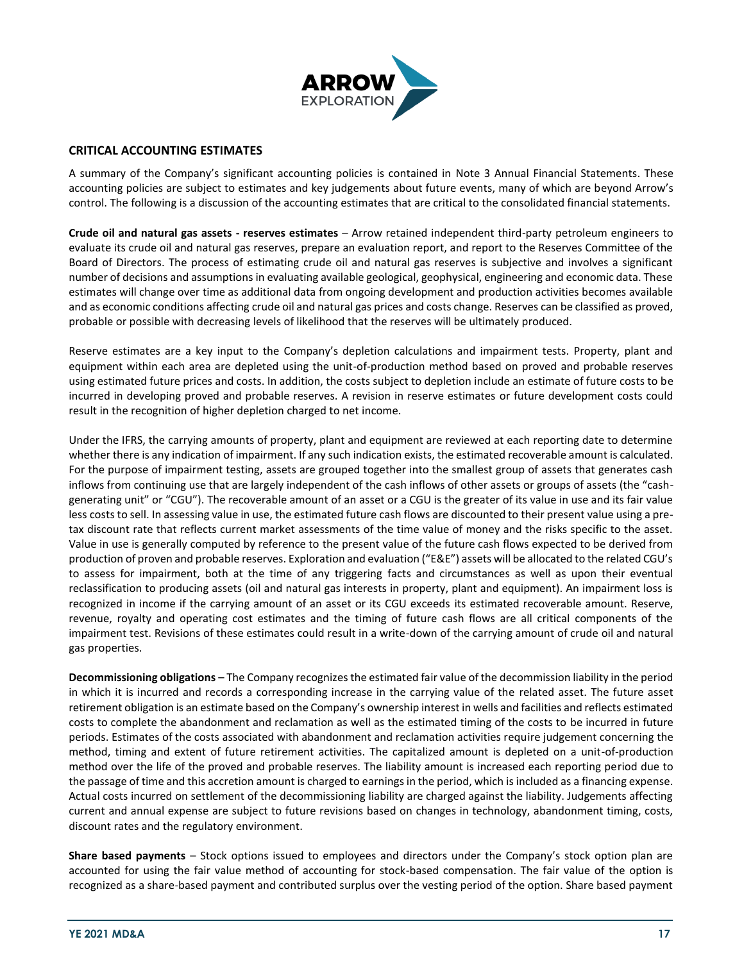

## **CRITICAL ACCOUNTING ESTIMATES**

A summary of the Company's significant accounting policies is contained in Note 3 Annual Financial Statements. These accounting policies are subject to estimates and key judgements about future events, many of which are beyond Arrow's control. The following is a discussion of the accounting estimates that are critical to the consolidated financial statements.

**Crude oil and natural gas assets - reserves estimates** – Arrow retained independent third-party petroleum engineers to evaluate its crude oil and natural gas reserves, prepare an evaluation report, and report to the Reserves Committee of the Board of Directors. The process of estimating crude oil and natural gas reserves is subjective and involves a significant number of decisions and assumptions in evaluating available geological, geophysical, engineering and economic data. These estimates will change over time as additional data from ongoing development and production activities becomes available and as economic conditions affecting crude oil and natural gas prices and costs change. Reserves can be classified as proved, probable or possible with decreasing levels of likelihood that the reserves will be ultimately produced.

Reserve estimates are a key input to the Company's depletion calculations and impairment tests. Property, plant and equipment within each area are depleted using the unit-of-production method based on proved and probable reserves using estimated future prices and costs. In addition, the costs subject to depletion include an estimate of future costs to be incurred in developing proved and probable reserves. A revision in reserve estimates or future development costs could result in the recognition of higher depletion charged to net income.

Under the IFRS, the carrying amounts of property, plant and equipment are reviewed at each reporting date to determine whether there is any indication of impairment. If any such indication exists, the estimated recoverable amount is calculated. For the purpose of impairment testing, assets are grouped together into the smallest group of assets that generates cash inflows from continuing use that are largely independent of the cash inflows of other assets or groups of assets (the "cashgenerating unit" or "CGU"). The recoverable amount of an asset or a CGU is the greater of its value in use and its fair value less costs to sell. In assessing value in use, the estimated future cash flows are discounted to their present value using a pretax discount rate that reflects current market assessments of the time value of money and the risks specific to the asset. Value in use is generally computed by reference to the present value of the future cash flows expected to be derived from production of proven and probable reserves. Exploration and evaluation ("E&E") assets will be allocated to the related CGU's to assess for impairment, both at the time of any triggering facts and circumstances as well as upon their eventual reclassification to producing assets (oil and natural gas interests in property, plant and equipment). An impairment loss is recognized in income if the carrying amount of an asset or its CGU exceeds its estimated recoverable amount. Reserve, revenue, royalty and operating cost estimates and the timing of future cash flows are all critical components of the impairment test. Revisions of these estimates could result in a write-down of the carrying amount of crude oil and natural gas properties.

**Decommissioning obligations** – The Company recognizes the estimated fair value of the decommission liability in the period in which it is incurred and records a corresponding increase in the carrying value of the related asset. The future asset retirement obligation is an estimate based on the Company's ownership interest in wells and facilities and reflects estimated costs to complete the abandonment and reclamation as well as the estimated timing of the costs to be incurred in future periods. Estimates of the costs associated with abandonment and reclamation activities require judgement concerning the method, timing and extent of future retirement activities. The capitalized amount is depleted on a unit-of-production method over the life of the proved and probable reserves. The liability amount is increased each reporting period due to the passage of time and this accretion amount is charged to earnings in the period, which is included as a financing expense. Actual costs incurred on settlement of the decommissioning liability are charged against the liability. Judgements affecting current and annual expense are subject to future revisions based on changes in technology, abandonment timing, costs, discount rates and the regulatory environment.

**Share based payments** – Stock options issued to employees and directors under the Company's stock option plan are accounted for using the fair value method of accounting for stock-based compensation. The fair value of the option is recognized as a share-based payment and contributed surplus over the vesting period of the option. Share based payment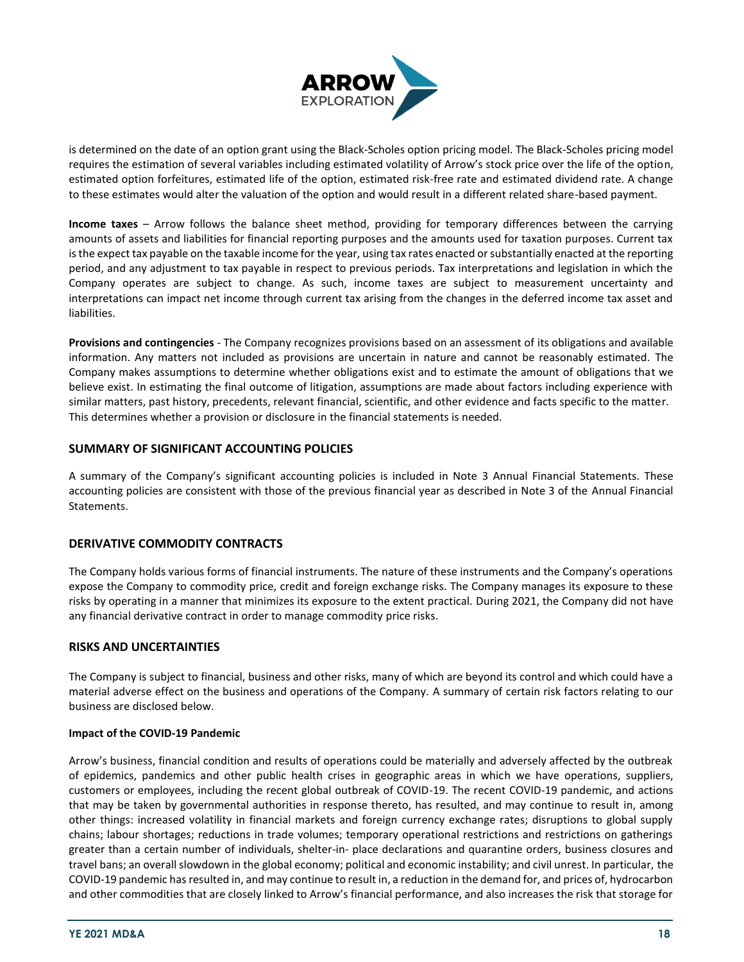

is determined on the date of an option grant using the Black-Scholes option pricing model. The Black-Scholes pricing model requires the estimation of several variables including estimated volatility of Arrow's stock price over the life of the option, estimated option forfeitures, estimated life of the option, estimated risk-free rate and estimated dividend rate. A change to these estimates would alter the valuation of the option and would result in a different related share-based payment.

**Income taxes** – Arrow follows the balance sheet method, providing for temporary differences between the carrying amounts of assets and liabilities for financial reporting purposes and the amounts used for taxation purposes. Current tax is the expect tax payable on the taxable income for the year, using tax rates enacted or substantially enacted at the reporting period, and any adjustment to tax payable in respect to previous periods. Tax interpretations and legislation in which the Company operates are subject to change. As such, income taxes are subject to measurement uncertainty and interpretations can impact net income through current tax arising from the changes in the deferred income tax asset and liabilities.

**Provisions and contingencies** - The Company recognizes provisions based on an assessment of its obligations and available information. Any matters not included as provisions are uncertain in nature and cannot be reasonably estimated. The Company makes assumptions to determine whether obligations exist and to estimate the amount of obligations that we believe exist. In estimating the final outcome of litigation, assumptions are made about factors including experience with similar matters, past history, precedents, relevant financial, scientific, and other evidence and facts specific to the matter. This determines whether a provision or disclosure in the financial statements is needed.

## **SUMMARY OF SIGNIFICANT ACCOUNTING POLICIES**

A summary of the Company's significant accounting policies is included in Note 3 Annual Financial Statements. These accounting policies are consistent with those of the previous financial year as described in Note 3 of the Annual Financial Statements.

## **DERIVATIVE COMMODITY CONTRACTS**

The Company holds various forms of financial instruments. The nature of these instruments and the Company's operations expose the Company to commodity price, credit and foreign exchange risks. The Company manages its exposure to these risks by operating in a manner that minimizes its exposure to the extent practical. During 2021, the Company did not have any financial derivative contract in order to manage commodity price risks.

## **RISKS AND UNCERTAINTIES**

The Company is subject to financial, business and other risks, many of which are beyond its control and which could have a material adverse effect on the business and operations of the Company. A summary of certain risk factors relating to our business are disclosed below.

## **Impact of the COVID-19 Pandemic**

Arrow's business, financial condition and results of operations could be materially and adversely affected by the outbreak of epidemics, pandemics and other public health crises in geographic areas in which we have operations, suppliers, customers or employees, including the recent global outbreak of COVID-19. The recent COVID-19 pandemic, and actions that may be taken by governmental authorities in response thereto, has resulted, and may continue to result in, among other things: increased volatility in financial markets and foreign currency exchange rates; disruptions to global supply chains; labour shortages; reductions in trade volumes; temporary operational restrictions and restrictions on gatherings greater than a certain number of individuals, shelter-in- place declarations and quarantine orders, business closures and travel bans; an overall slowdown in the global economy; political and economic instability; and civil unrest. In particular, the COVID-19 pandemic has resulted in, and may continue to result in, a reduction in the demand for, and prices of, hydrocarbon and other commodities that are closely linked to Arrow's financial performance, and also increases the risk that storage for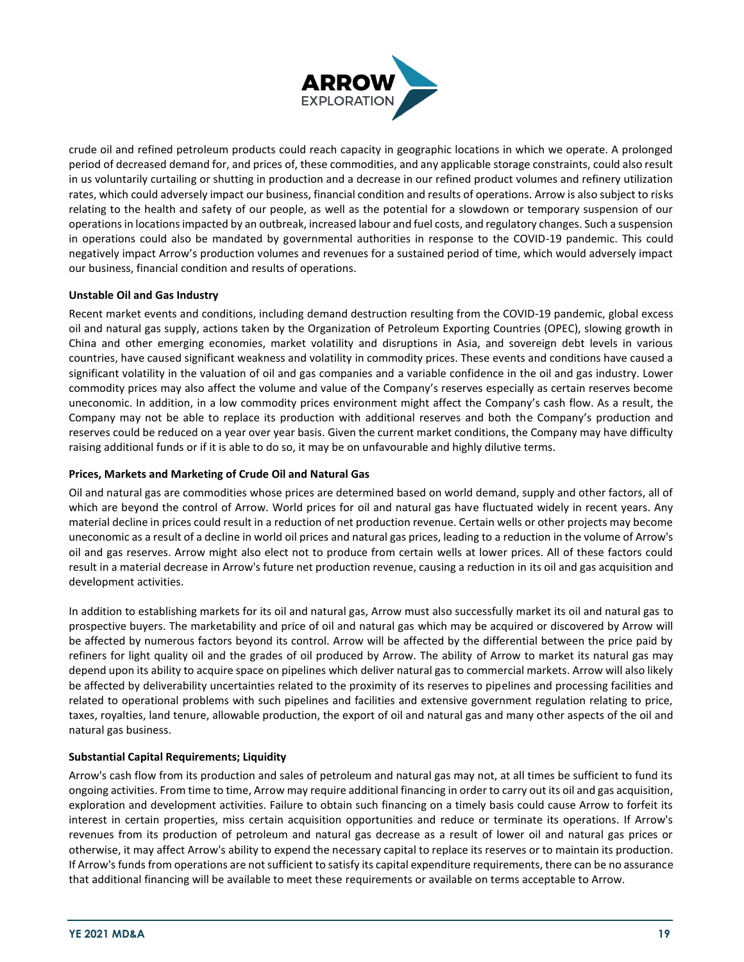

crude oil and refined petroleum products could reach capacity in geographic locations in which we operate. A prolonged period of decreased demand for, and prices of, these commodities, and any applicable storage constraints, could also result in us voluntarily curtailing or shutting in production and a decrease in our refined product volumes and refinery utilization rates, which could adversely impact our business, financial condition and results of operations. Arrow is also subject to risks relating to the health and safety of our people, as well as the potential for a slowdown or temporary suspension of our operations in locations impacted by an outbreak, increased labour and fuel costs, and regulatory changes. Such a suspension in operations could also be mandated by governmental authorities in response to the COVID-19 pandemic. This could negatively impact Arrow's production volumes and revenues for a sustained period of time, which would adversely impact our business, financial condition and results of operations.

## **Unstable Oil and Gas Industry**

Recent market events and conditions, including demand destruction resulting from the COVID-19 pandemic, global excess oil and natural gas supply, actions taken by the Organization of Petroleum Exporting Countries (OPEC), slowing growth in China and other emerging economies, market volatility and disruptions in Asia, and sovereign debt levels in various countries, have caused significant weakness and volatility in commodity prices. These events and conditions have caused a significant volatility in the valuation of oil and gas companies and a variable confidence in the oil and gas industry. Lower commodity prices may also affect the volume and value of the Company's reserves especially as certain reserves become uneconomic. In addition, in a low commodity prices environment might affect the Company's cash flow. As a result, the Company may not be able to replace its production with additional reserves and both the Company's production and reserves could be reduced on a year over year basis. Given the current market conditions, the Company may have difficulty raising additional funds or if it is able to do so, it may be on unfavourable and highly dilutive terms.

## **Prices, Markets and Marketing of Crude Oil and Natural Gas**

Oil and natural gas are commodities whose prices are determined based on world demand, supply and other factors, all of which are beyond the control of Arrow. World prices for oil and natural gas have fluctuated widely in recent years. Any material decline in prices could result in a reduction of net production revenue. Certain wells or other projects may become uneconomic as a result of a decline in world oil prices and natural gas prices, leading to a reduction in the volume of Arrow's oil and gas reserves. Arrow might also elect not to produce from certain wells at lower prices. All of these factors could result in a material decrease in Arrow's future net production revenue, causing a reduction in its oil and gas acquisition and development activities.

In addition to establishing markets for its oil and natural gas, Arrow must also successfully market its oil and natural gas to prospective buyers. The marketability and price of oil and natural gas which may be acquired or discovered by Arrow will be affected by numerous factors beyond its control. Arrow will be affected by the differential between the price paid by refiners for light quality oil and the grades of oil produced by Arrow. The ability of Arrow to market its natural gas may depend upon its ability to acquire space on pipelines which deliver natural gas to commercial markets. Arrow will also likely be affected by deliverability uncertainties related to the proximity of its reserves to pipelines and processing facilities and related to operational problems with such pipelines and facilities and extensive government regulation relating to price, taxes, royalties, land tenure, allowable production, the export of oil and natural gas and many other aspects of the oil and natural gas business.

## **Substantial Capital Requirements; Liquidity**

Arrow's cash flow from its production and sales of petroleum and natural gas may not, at all times be sufficient to fund its ongoing activities. From time to time, Arrow may require additional financing in order to carry out its oil and gas acquisition, exploration and development activities. Failure to obtain such financing on a timely basis could cause Arrow to forfeit its interest in certain properties, miss certain acquisition opportunities and reduce or terminate its operations. If Arrow's revenues from its production of petroleum and natural gas decrease as a result of lower oil and natural gas prices or otherwise, it may affect Arrow's ability to expend the necessary capital to replace its reserves or to maintain its production. If Arrow's funds from operations are not sufficient to satisfy its capital expenditure requirements, there can be no assurance that additional financing will be available to meet these requirements or available on terms acceptable to Arrow.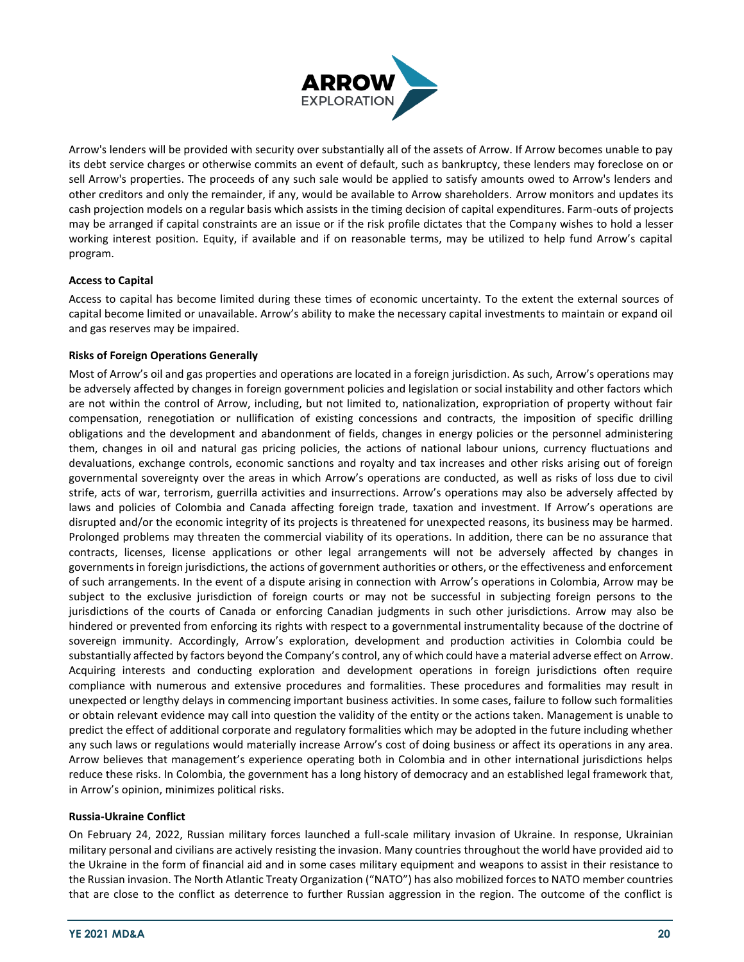

Arrow's lenders will be provided with security over substantially all of the assets of Arrow. If Arrow becomes unable to pay its debt service charges or otherwise commits an event of default, such as bankruptcy, these lenders may foreclose on or sell Arrow's properties. The proceeds of any such sale would be applied to satisfy amounts owed to Arrow's lenders and other creditors and only the remainder, if any, would be available to Arrow shareholders. Arrow monitors and updates its cash projection models on a regular basis which assists in the timing decision of capital expenditures. Farm-outs of projects may be arranged if capital constraints are an issue or if the risk profile dictates that the Company wishes to hold a lesser working interest position. Equity, if available and if on reasonable terms, may be utilized to help fund Arrow's capital program.

#### **Access to Capital**

Access to capital has become limited during these times of economic uncertainty. To the extent the external sources of capital become limited or unavailable. Arrow's ability to make the necessary capital investments to maintain or expand oil and gas reserves may be impaired.

#### **Risks of Foreign Operations Generally**

Most of Arrow's oil and gas properties and operations are located in a foreign jurisdiction. As such, Arrow's operations may be adversely affected by changes in foreign government policies and legislation or social instability and other factors which are not within the control of Arrow, including, but not limited to, nationalization, expropriation of property without fair compensation, renegotiation or nullification of existing concessions and contracts, the imposition of specific drilling obligations and the development and abandonment of fields, changes in energy policies or the personnel administering them, changes in oil and natural gas pricing policies, the actions of national labour unions, currency fluctuations and devaluations, exchange controls, economic sanctions and royalty and tax increases and other risks arising out of foreign governmental sovereignty over the areas in which Arrow's operations are conducted, as well as risks of loss due to civil strife, acts of war, terrorism, guerrilla activities and insurrections. Arrow's operations may also be adversely affected by laws and policies of Colombia and Canada affecting foreign trade, taxation and investment. If Arrow's operations are disrupted and/or the economic integrity of its projects is threatened for unexpected reasons, its business may be harmed. Prolonged problems may threaten the commercial viability of its operations. In addition, there can be no assurance that contracts, licenses, license applications or other legal arrangements will not be adversely affected by changes in governments in foreign jurisdictions, the actions of government authorities or others, or the effectiveness and enforcement of such arrangements. In the event of a dispute arising in connection with Arrow's operations in Colombia, Arrow may be subject to the exclusive jurisdiction of foreign courts or may not be successful in subjecting foreign persons to the jurisdictions of the courts of Canada or enforcing Canadian judgments in such other jurisdictions. Arrow may also be hindered or prevented from enforcing its rights with respect to a governmental instrumentality because of the doctrine of sovereign immunity. Accordingly, Arrow's exploration, development and production activities in Colombia could be substantially affected by factors beyond the Company's control, any of which could have a material adverse effect on Arrow. Acquiring interests and conducting exploration and development operations in foreign jurisdictions often require compliance with numerous and extensive procedures and formalities. These procedures and formalities may result in unexpected or lengthy delays in commencing important business activities. In some cases, failure to follow such formalities or obtain relevant evidence may call into question the validity of the entity or the actions taken. Management is unable to predict the effect of additional corporate and regulatory formalities which may be adopted in the future including whether any such laws or regulations would materially increase Arrow's cost of doing business or affect its operations in any area. Arrow believes that management's experience operating both in Colombia and in other international jurisdictions helps reduce these risks. In Colombia, the government has a long history of democracy and an established legal framework that, in Arrow's opinion, minimizes political risks.

#### **Russia-Ukraine Conflict**

On February 24, 2022, Russian military forces launched a full-scale military invasion of Ukraine. In response, Ukrainian military personal and civilians are actively resisting the invasion. Many countries throughout the world have provided aid to the Ukraine in the form of financial aid and in some cases military equipment and weapons to assist in their resistance to the Russian invasion. The North Atlantic Treaty Organization ("NATO") has also mobilized forces to NATO member countries that are close to the conflict as deterrence to further Russian aggression in the region. The outcome of the conflict is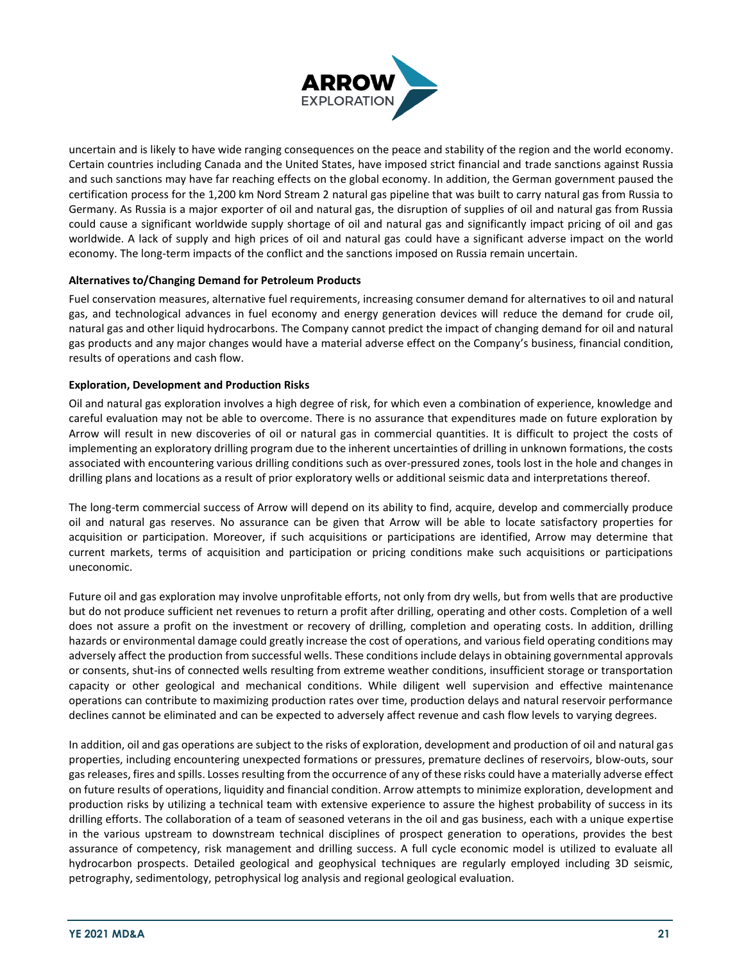

uncertain and is likely to have wide ranging consequences on the peace and stability of the region and the world economy. Certain countries including Canada and the United States, have imposed strict financial and trade sanctions against Russia and such sanctions may have far reaching effects on the global economy. In addition, the German government paused the certification process for the 1,200 km Nord Stream 2 natural gas pipeline that was built to carry natural gas from Russia to Germany. As Russia is a major exporter of oil and natural gas, the disruption of supplies of oil and natural gas from Russia could cause a significant worldwide supply shortage of oil and natural gas and significantly impact pricing of oil and gas worldwide. A lack of supply and high prices of oil and natural gas could have a significant adverse impact on the world economy. The long-term impacts of the conflict and the sanctions imposed on Russia remain uncertain.

#### **Alternatives to/Changing Demand for Petroleum Products**

Fuel conservation measures, alternative fuel requirements, increasing consumer demand for alternatives to oil and natural gas, and technological advances in fuel economy and energy generation devices will reduce the demand for crude oil, natural gas and other liquid hydrocarbons. The Company cannot predict the impact of changing demand for oil and natural gas products and any major changes would have a material adverse effect on the Company's business, financial condition, results of operations and cash flow.

#### **Exploration, Development and Production Risks**

Oil and natural gas exploration involves a high degree of risk, for which even a combination of experience, knowledge and careful evaluation may not be able to overcome. There is no assurance that expenditures made on future exploration by Arrow will result in new discoveries of oil or natural gas in commercial quantities. It is difficult to project the costs of implementing an exploratory drilling program due to the inherent uncertainties of drilling in unknown formations, the costs associated with encountering various drilling conditions such as over-pressured zones, tools lost in the hole and changes in drilling plans and locations as a result of prior exploratory wells or additional seismic data and interpretations thereof.

The long-term commercial success of Arrow will depend on its ability to find, acquire, develop and commercially produce oil and natural gas reserves. No assurance can be given that Arrow will be able to locate satisfactory properties for acquisition or participation. Moreover, if such acquisitions or participations are identified, Arrow may determine that current markets, terms of acquisition and participation or pricing conditions make such acquisitions or participations uneconomic.

Future oil and gas exploration may involve unprofitable efforts, not only from dry wells, but from wells that are productive but do not produce sufficient net revenues to return a profit after drilling, operating and other costs. Completion of a well does not assure a profit on the investment or recovery of drilling, completion and operating costs. In addition, drilling hazards or environmental damage could greatly increase the cost of operations, and various field operating conditions may adversely affect the production from successful wells. These conditions include delays in obtaining governmental approvals or consents, shut-ins of connected wells resulting from extreme weather conditions, insufficient storage or transportation capacity or other geological and mechanical conditions. While diligent well supervision and effective maintenance operations can contribute to maximizing production rates over time, production delays and natural reservoir performance declines cannot be eliminated and can be expected to adversely affect revenue and cash flow levels to varying degrees.

In addition, oil and gas operations are subject to the risks of exploration, development and production of oil and natural gas properties, including encountering unexpected formations or pressures, premature declines of reservoirs, blow-outs, sour gas releases, fires and spills. Losses resulting from the occurrence of any of these risks could have a materially adverse effect on future results of operations, liquidity and financial condition. Arrow attempts to minimize exploration, development and production risks by utilizing a technical team with extensive experience to assure the highest probability of success in its drilling efforts. The collaboration of a team of seasoned veterans in the oil and gas business, each with a unique expertise in the various upstream to downstream technical disciplines of prospect generation to operations, provides the best assurance of competency, risk management and drilling success. A full cycle economic model is utilized to evaluate all hydrocarbon prospects. Detailed geological and geophysical techniques are regularly employed including 3D seismic, petrography, sedimentology, petrophysical log analysis and regional geological evaluation.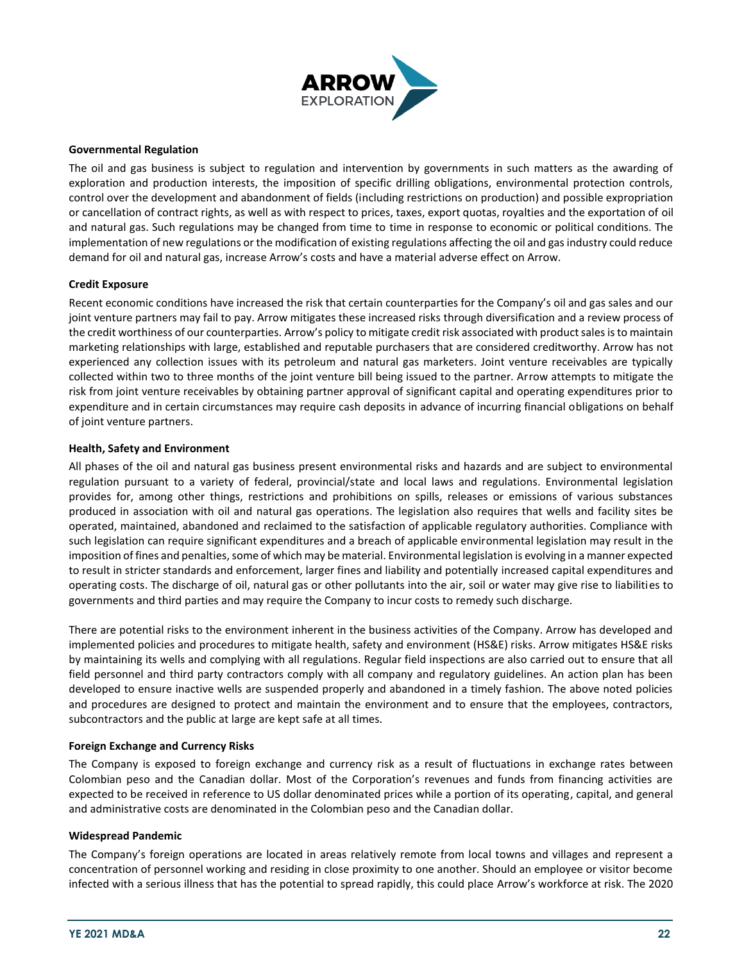

#### **Governmental Regulation**

The oil and gas business is subject to regulation and intervention by governments in such matters as the awarding of exploration and production interests, the imposition of specific drilling obligations, environmental protection controls, control over the development and abandonment of fields (including restrictions on production) and possible expropriation or cancellation of contract rights, as well as with respect to prices, taxes, export quotas, royalties and the exportation of oil and natural gas. Such regulations may be changed from time to time in response to economic or political conditions. The implementation of new regulations or the modification of existing regulations affecting the oil and gas industry could reduce demand for oil and natural gas, increase Arrow's costs and have a material adverse effect on Arrow.

#### **Credit Exposure**

Recent economic conditions have increased the risk that certain counterparties for the Company's oil and gas sales and our joint venture partners may fail to pay. Arrow mitigates these increased risks through diversification and a review process of the credit worthiness of our counterparties. Arrow's policy to mitigate credit risk associated with product sales is to maintain marketing relationships with large, established and reputable purchasers that are considered creditworthy. Arrow has not experienced any collection issues with its petroleum and natural gas marketers. Joint venture receivables are typically collected within two to three months of the joint venture bill being issued to the partner. Arrow attempts to mitigate the risk from joint venture receivables by obtaining partner approval of significant capital and operating expenditures prior to expenditure and in certain circumstances may require cash deposits in advance of incurring financial obligations on behalf of joint venture partners.

#### **Health, Safety and Environment**

All phases of the oil and natural gas business present environmental risks and hazards and are subject to environmental regulation pursuant to a variety of federal, provincial/state and local laws and regulations. Environmental legislation provides for, among other things, restrictions and prohibitions on spills, releases or emissions of various substances produced in association with oil and natural gas operations. The legislation also requires that wells and facility sites be operated, maintained, abandoned and reclaimed to the satisfaction of applicable regulatory authorities. Compliance with such legislation can require significant expenditures and a breach of applicable environmental legislation may result in the imposition of fines and penalties, some of which may be material. Environmental legislation is evolving in a manner expected to result in stricter standards and enforcement, larger fines and liability and potentially increased capital expenditures and operating costs. The discharge of oil, natural gas or other pollutants into the air, soil or water may give rise to liabilities to governments and third parties and may require the Company to incur costs to remedy such discharge.

There are potential risks to the environment inherent in the business activities of the Company. Arrow has developed and implemented policies and procedures to mitigate health, safety and environment (HS&E) risks. Arrow mitigates HS&E risks by maintaining its wells and complying with all regulations. Regular field inspections are also carried out to ensure that all field personnel and third party contractors comply with all company and regulatory guidelines. An action plan has been developed to ensure inactive wells are suspended properly and abandoned in a timely fashion. The above noted policies and procedures are designed to protect and maintain the environment and to ensure that the employees, contractors, subcontractors and the public at large are kept safe at all times.

#### **Foreign Exchange and Currency Risks**

The Company is exposed to foreign exchange and currency risk as a result of fluctuations in exchange rates between Colombian peso and the Canadian dollar. Most of the Corporation's revenues and funds from financing activities are expected to be received in reference to US dollar denominated prices while a portion of its operating, capital, and general and administrative costs are denominated in the Colombian peso and the Canadian dollar.

#### **Widespread Pandemic**

The Company's foreign operations are located in areas relatively remote from local towns and villages and represent a concentration of personnel working and residing in close proximity to one another. Should an employee or visitor become infected with a serious illness that has the potential to spread rapidly, this could place Arrow's workforce at risk. The 2020